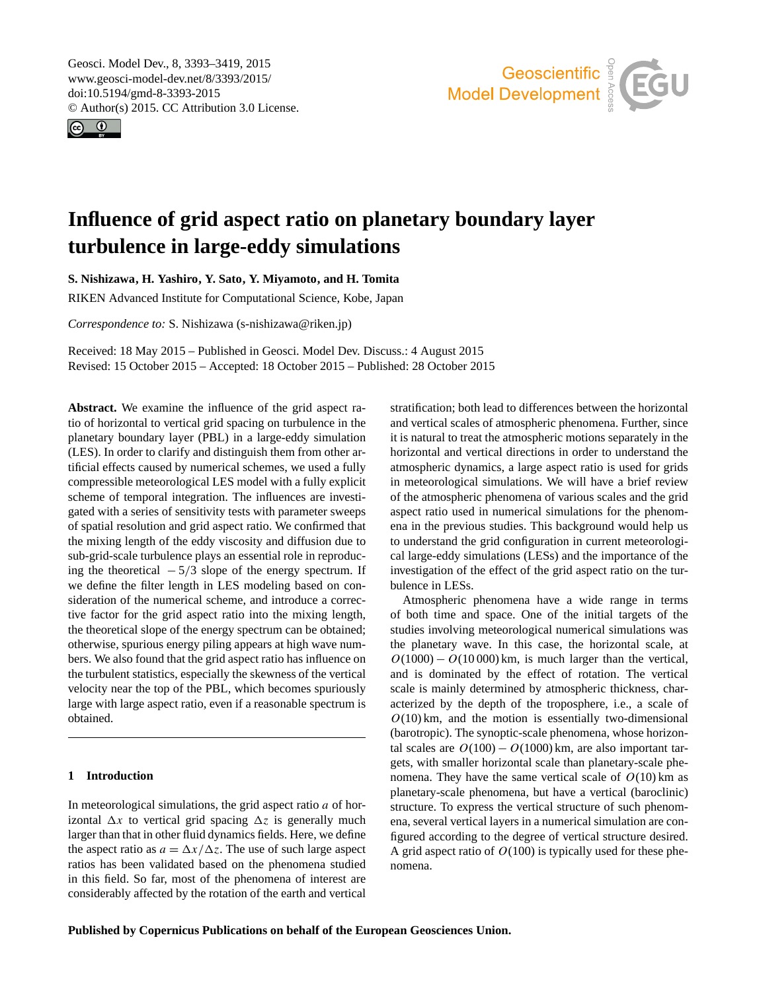<span id="page-0-0"></span>Geosci. Model Dev., 8, 3393–3419, 2015 www.geosci-model-dev.net/8/3393/2015/ doi:10.5194/gmd-8-3393-2015 © Author(s) 2015. CC Attribution 3.0 License.





# **Influence of grid aspect ratio on planetary boundary layer turbulence in large-eddy simulations**

**S. Nishizawa, H. Yashiro, Y. Sato, Y. Miyamoto, and H. Tomita**

RIKEN Advanced Institute for Computational Science, Kobe, Japan

*Correspondence to:* S. Nishizawa (s-nishizawa@riken.jp)

Received: 18 May 2015 – Published in Geosci. Model Dev. Discuss.: 4 August 2015 Revised: 15 October 2015 – Accepted: 18 October 2015 – Published: 28 October 2015

**Abstract.** We examine the influence of the grid aspect ratio of horizontal to vertical grid spacing on turbulence in the planetary boundary layer (PBL) in a large-eddy simulation (LES). In order to clarify and distinguish them from other artificial effects caused by numerical schemes, we used a fully compressible meteorological LES model with a fully explicit scheme of temporal integration. The influences are investigated with a series of sensitivity tests with parameter sweeps of spatial resolution and grid aspect ratio. We confirmed that the mixing length of the eddy viscosity and diffusion due to sub-grid-scale turbulence plays an essential role in reproducing the theoretical  $-5/3$  slope of the energy spectrum. If we define the filter length in LES modeling based on consideration of the numerical scheme, and introduce a corrective factor for the grid aspect ratio into the mixing length, the theoretical slope of the energy spectrum can be obtained; otherwise, spurious energy piling appears at high wave numbers. We also found that the grid aspect ratio has influence on the turbulent statistics, especially the skewness of the vertical velocity near the top of the PBL, which becomes spuriously large with large aspect ratio, even if a reasonable spectrum is obtained.

# **1 Introduction**

In meteorological simulations, the grid aspect ratio  $a$  of horizontal  $\Delta x$  to vertical grid spacing  $\Delta z$  is generally much larger than that in other fluid dynamics fields. Here, we define the aspect ratio as  $a = \Delta x / \Delta z$ . The use of such large aspect ratios has been validated based on the phenomena studied in this field. So far, most of the phenomena of interest are considerably affected by the rotation of the earth and vertical

stratification; both lead to differences between the horizontal and vertical scales of atmospheric phenomena. Further, since it is natural to treat the atmospheric motions separately in the horizontal and vertical directions in order to understand the atmospheric dynamics, a large aspect ratio is used for grids in meteorological simulations. We will have a brief review of the atmospheric phenomena of various scales and the grid aspect ratio used in numerical simulations for the phenomena in the previous studies. This background would help us to understand the grid configuration in current meteorological large-eddy simulations (LESs) and the importance of the investigation of the effect of the grid aspect ratio on the turbulence in LESs.

Atmospheric phenomena have a wide range in terms of both time and space. One of the initial targets of the studies involving meteorological numerical simulations was the planetary wave. In this case, the horizontal scale, at  $O(1000) - O(10000)$  km, is much larger than the vertical, and is dominated by the effect of rotation. The vertical scale is mainly determined by atmospheric thickness, characterized by the depth of the troposphere, i.e., a scale of  $O(10)$  km, and the motion is essentially two-dimensional (barotropic). The synoptic-scale phenomena, whose horizontal scales are  $O(100) - O(1000)$  km, are also important targets, with smaller horizontal scale than planetary-scale phenomena. They have the same vertical scale of  $O(10)$  km as planetary-scale phenomena, but have a vertical (baroclinic) structure. To express the vertical structure of such phenomena, several vertical layers in a numerical simulation are configured according to the degree of vertical structure desired. A grid aspect ratio of  $O(100)$  is typically used for these phenomena.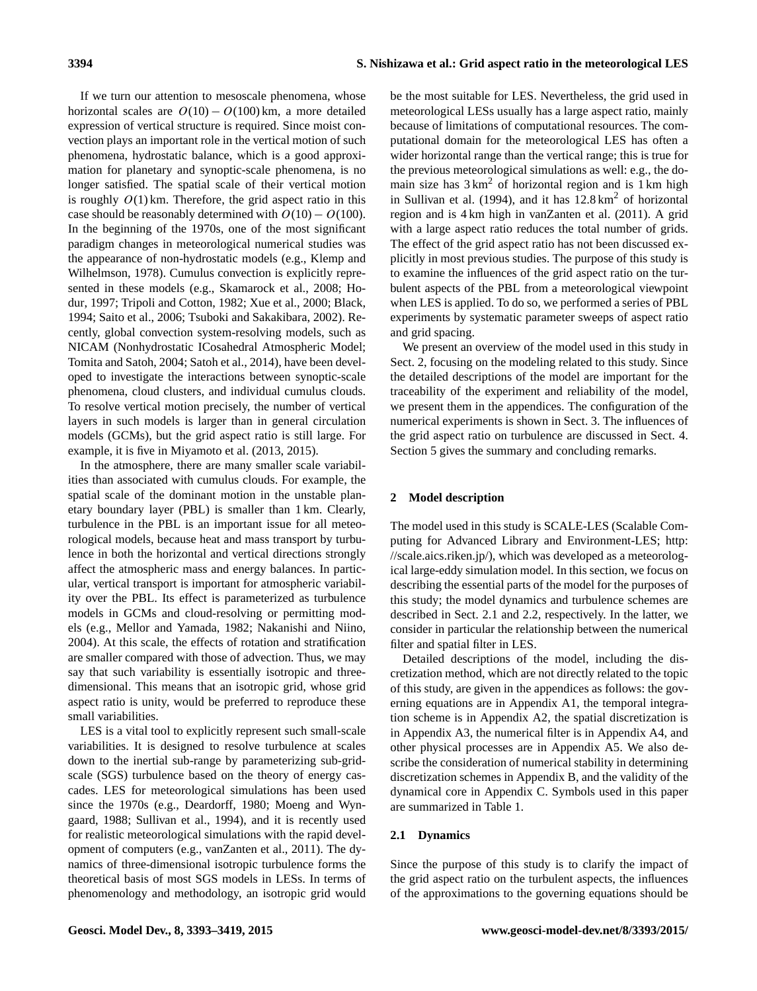If we turn our attention to mesoscale phenomena, whose horizontal scales are  $O(10) - O(100)$  km, a more detailed expression of vertical structure is required. Since moist convection plays an important role in the vertical motion of such phenomena, hydrostatic balance, which is a good approximation for planetary and synoptic-scale phenomena, is no longer satisfied. The spatial scale of their vertical motion is roughly  $O(1)$  km. Therefore, the grid aspect ratio in this case should be reasonably determined with  $O(10) - O(100)$ . In the beginning of the 1970s, one of the most significant paradigm changes in meteorological numerical studies was the appearance of non-hydrostatic models (e.g., [Klemp and](#page-25-0) [Wilhelmson,](#page-25-0) [1978\)](#page-25-0). Cumulus convection is explicitly represented in these models (e.g., [Skamarock et al.,](#page-26-0) [2008;](#page-26-0) [Ho](#page-25-1)[dur,](#page-25-1) [1997;](#page-25-1) [Tripoli and Cotton,](#page-26-1) [1982;](#page-26-1) [Xue et al.,](#page-26-2) [2000;](#page-26-2) [Black,](#page-25-2) [1994;](#page-25-2) [Saito et al.,](#page-25-3) [2006;](#page-25-3) [Tsuboki and Sakakibara,](#page-26-3) [2002\)](#page-26-3). Recently, global convection system-resolving models, such as NICAM (Nonhydrostatic ICosahedral Atmospheric Model; [Tomita and Satoh,](#page-26-4) [2004;](#page-26-4) [Satoh et al.,](#page-25-4) [2014\)](#page-25-4), have been developed to investigate the interactions between synoptic-scale phenomena, cloud clusters, and individual cumulus clouds. To resolve vertical motion precisely, the number of vertical layers in such models is larger than in general circulation models (GCMs), but the grid aspect ratio is still large. For example, it is five in [Miyamoto et al.](#page-25-5) [\(2013,](#page-25-5) [2015\)](#page-25-6).

In the atmosphere, there are many smaller scale variabilities than associated with cumulus clouds. For example, the spatial scale of the dominant motion in the unstable planetary boundary layer (PBL) is smaller than 1 km. Clearly, turbulence in the PBL is an important issue for all meteorological models, because heat and mass transport by turbulence in both the horizontal and vertical directions strongly affect the atmospheric mass and energy balances. In particular, vertical transport is important for atmospheric variability over the PBL. Its effect is parameterized as turbulence models in GCMs and cloud-resolving or permitting models (e.g., [Mellor and Yamada,](#page-25-7) [1982;](#page-25-7) [Nakanishi and Niino,](#page-25-8) [2004\)](#page-25-8). At this scale, the effects of rotation and stratification are smaller compared with those of advection. Thus, we may say that such variability is essentially isotropic and threedimensional. This means that an isotropic grid, whose grid aspect ratio is unity, would be preferred to reproduce these small variabilities.

LES is a vital tool to explicitly represent such small-scale variabilities. It is designed to resolve turbulence at scales down to the inertial sub-range by parameterizing sub-gridscale (SGS) turbulence based on the theory of energy cascades. LES for meteorological simulations has been used since the 1970s (e.g., [Deardorff,](#page-25-9) [1980;](#page-25-9) [Moeng and Wyn](#page-25-10)[gaard,](#page-25-10) [1988;](#page-25-10) [Sullivan et al.,](#page-26-5) [1994\)](#page-26-5), and it is recently used for realistic meteorological simulations with the rapid development of computers (e.g., [vanZanten et al.,](#page-26-6) [2011\)](#page-26-6). The dynamics of three-dimensional isotropic turbulence forms the theoretical basis of most SGS models in LESs. In terms of phenomenology and methodology, an isotropic grid would be the most suitable for LES. Nevertheless, the grid used in meteorological LESs usually has a large aspect ratio, mainly because of limitations of computational resources. The computational domain for the meteorological LES has often a wider horizontal range than the vertical range; this is true for the previous meteorological simulations as well: e.g., the domain size has  $3 \text{ km}^2$  of horizontal region and is 1 km high in [Sullivan et al.](#page-26-5) [\(1994\)](#page-26-5), and it has  $12.8 \text{ km}^2$  of horizontal region and is 4 km high in [vanZanten et al.](#page-26-6) [\(2011\)](#page-26-6). A grid with a large aspect ratio reduces the total number of grids. The effect of the grid aspect ratio has not been discussed explicitly in most previous studies. The purpose of this study is to examine the influences of the grid aspect ratio on the turbulent aspects of the PBL from a meteorological viewpoint when LES is applied. To do so, we performed a series of PBL experiments by systematic parameter sweeps of aspect ratio and grid spacing.

We present an overview of the model used in this study in Sect. [2,](#page-1-0) focusing on the modeling related to this study. Since the detailed descriptions of the model are important for the traceability of the experiment and reliability of the model, we present them in the appendices. The configuration of the numerical experiments is shown in Sect. [3.](#page-5-0) The influences of the grid aspect ratio on turbulence are discussed in Sect. [4.](#page-6-0) Section [5](#page-11-0) gives the summary and concluding remarks.

# <span id="page-1-0"></span>**2 Model description**

The model used in this study is SCALE-LES (Scalable Computing for Advanced Library and Environment-LES; [http:](http://scale.aics.riken.jp/) [//scale.aics.riken.jp/\)](http://scale.aics.riken.jp/), which was developed as a meteorological large-eddy simulation model. In this section, we focus on describing the essential parts of the model for the purposes of this study; the model dynamics and turbulence schemes are described in Sect. [2.1](#page-1-1) and [2.2,](#page-3-0) respectively. In the latter, we consider in particular the relationship between the numerical filter and spatial filter in LES.

Detailed descriptions of the model, including the discretization method, which are not directly related to the topic of this study, are given in the appendices as follows: the governing equations are in Appendix [A1,](#page-13-0) the temporal integration scheme is in Appendix [A2,](#page-15-0) the spatial discretization is in Appendix [A3,](#page-17-0) the numerical filter is in Appendix [A4,](#page-20-0) and other physical processes are in Appendix [A5.](#page-22-0) We also describe the consideration of numerical stability in determining discretization schemes in Appendix [B,](#page-23-0) and the validity of the dynamical core in Appendix [C.](#page-23-1) Symbols used in this paper are summarized in Table [1.](#page-2-0)

#### <span id="page-1-1"></span>**2.1 Dynamics**

Since the purpose of this study is to clarify the impact of the grid aspect ratio on the turbulent aspects, the influences of the approximations to the governing equations should be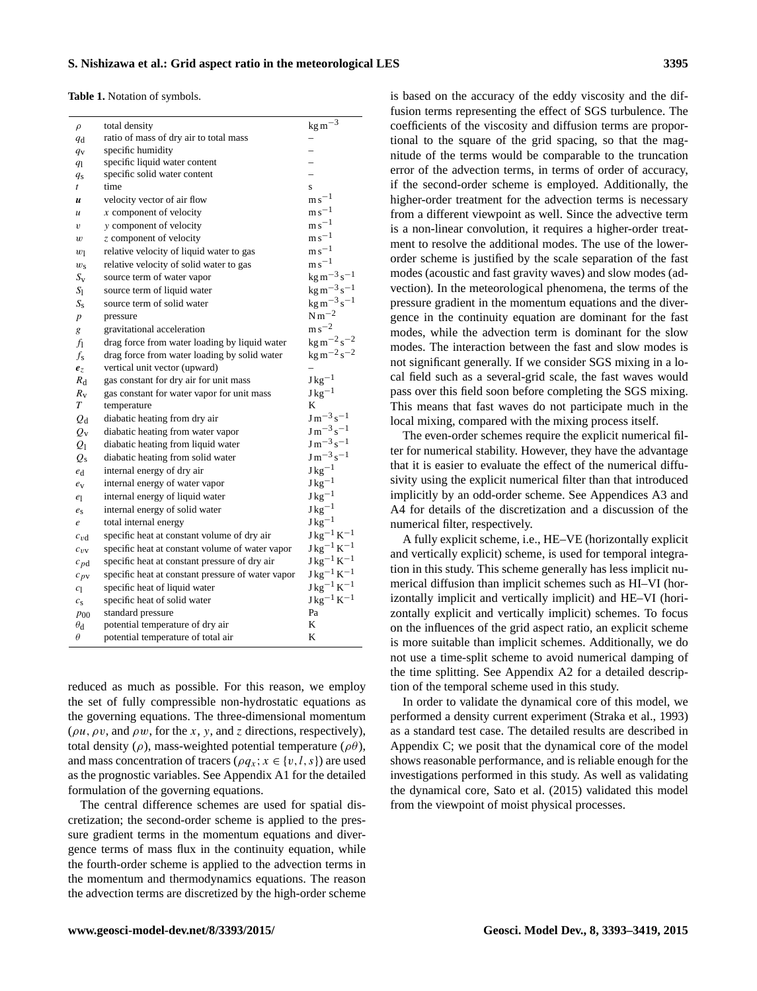<span id="page-2-0"></span>**Table 1.** Notation of symbols.

| $\rho$           | total density                                     | $\mathrm{kg\,m^{-3}}$              |
|------------------|---------------------------------------------------|------------------------------------|
| $q_{\rm d}$      | ratio of mass of dry air to total mass            |                                    |
| $q_{\rm V}$      | specific humidity                                 |                                    |
| q <sub>1</sub>   | specific liquid water content                     |                                    |
| $q_{\rm S}$      | specific solid water content                      |                                    |
| $\mathfrak{t}$   | time                                              | $\mathbf{s}$                       |
| $\boldsymbol{u}$ | velocity vector of air flow                       | $\mathrm{m}\,\mathrm{s}^{-1}$      |
| $\mathcal{U}$    | $x$ component of velocity                         | $\mathrm{m}\,\mathrm{s}^{-1}$      |
| υ                | y component of velocity                           | $\mathrm{m}\,\mathrm{s}^{-1}$      |
| w                | z component of velocity                           | $m s^{-1}$                         |
| $w_1$            | relative velocity of liquid water to gas          | $m s^{-1}$                         |
| $w_{\rm s}$      | relative velocity of solid water to gas           | $m s^{-1}$                         |
| $S_{\rm v}$      | source term of water vapor                        | $kg m^{-3} s^{-1}$                 |
| $S_1$            | source term of liquid water                       | $kg m^{-3} s^{-1}$                 |
| $S_{\rm s}$      | source term of solid water                        | $kg m^{-3} s^{-1}$                 |
| $\boldsymbol{p}$ | pressure                                          | $N m^{-2}$                         |
| g                | gravitational acceleration                        | $\mathrm{m}\,\mathrm{s}^{-2}$      |
| fi               | drag force from water loading by liquid water     | $\text{kg m}^{-2}\text{s}^{-2}$    |
| fs               | drag force from water loading by solid water      | $\text{kg m}^{-2} \text{s}^{-2}$   |
| $e_z$            | vertical unit vector (upward)                     |                                    |
| $R_{\rm d}$      | gas constant for dry air for unit mass            | $J kg^{-1}$                        |
| $R_{\rm v}$      | gas constant for water vapor for unit mass        | $J \text{kg}^{-1}$                 |
| T                | temperature                                       | K                                  |
| $Q_{\rm d}$      | diabatic heating from dry air                     | $J m^{-3} s^{-1}$                  |
| $Q_{\rm V}$      | diabatic heating from water vapor                 | $J m^{-3} s^{-1}$                  |
| $Q_1$            | diabatic heating from liquid water                | $J m^{-3} s^{-1}$                  |
| $Q_{\rm S}$      | diabatic heating from solid water                 | $J m^{-3} s^{-1}$                  |
| $e_{\rm d}$      | internal energy of dry air                        | $J kg^{-1}$                        |
| $e_{v}$          | internal energy of water vapor                    | $J kg^{-1}$                        |
| $e_1$            | internal energy of liquid water                   | $J \text{kg}^{-1}$                 |
| $e_{s}$          | internal energy of solid water                    | $J \text{kg}^{-1}$                 |
| e                | total internal energy                             | $J \text{kg}^{-1}$                 |
| $c_{vd}$         | specific heat at constant volume of dry air       | $J kg^{-1} K^{-1}$                 |
| $c_{\nu v}$      | specific heat at constant volume of water vapor   | $J kg^{-1} K^{-1}$                 |
| $c_{pd}$         | specific heat at constant pressure of dry air     | $J kg^{-1} K^{-1}$                 |
| $c_{pv}$         | specific heat at constant pressure of water vapor | $J \text{ kg}^{-1} \text{ K}^{-1}$ |
| c <sub>1</sub>   | specific heat of liquid water                     | $J kg^{-1} K^{-1}$                 |
| $c_{\rm s}$      | specific heat of solid water                      | $J kg^{-1} K^{-1}$                 |
| $p_{00}$         | standard pressure                                 | Pa                                 |
| $\theta_{\rm d}$ | potential temperature of dry air                  | K                                  |
| $\theta$         | potential temperature of total air                | K                                  |
|                  |                                                   |                                    |

reduced as much as possible. For this reason, we employ the set of fully compressible non-hydrostatic equations as the governing equations. The three-dimensional momentum ( $\rho u$ ,  $\rho v$ , and  $\rho w$ , for the x, y, and z directions, respectively), total density ( $\rho$ ), mass-weighted potential temperature ( $\rho\theta$ ), and mass concentration of tracers ( $\rho q_x$ ;  $x \in \{v, l, s\}$ ) are used as the prognostic variables. See Appendix [A1](#page-13-0) for the detailed formulation of the governing equations.

The central difference schemes are used for spatial discretization; the second-order scheme is applied to the pressure gradient terms in the momentum equations and divergence terms of mass flux in the continuity equation, while the fourth-order scheme is applied to the advection terms in the momentum and thermodynamics equations. The reason the advection terms are discretized by the high-order scheme

is based on the accuracy of the eddy viscosity and the diffusion terms representing the effect of SGS turbulence. The coefficients of the viscosity and diffusion terms are proportional to the square of the grid spacing, so that the magnitude of the terms would be comparable to the truncation error of the advection terms, in terms of order of accuracy, if the second-order scheme is employed. Additionally, the higher-order treatment for the advection terms is necessary from a different viewpoint as well. Since the advective term is a non-linear convolution, it requires a higher-order treatment to resolve the additional modes. The use of the lowerorder scheme is justified by the scale separation of the fast modes (acoustic and fast gravity waves) and slow modes (advection). In the meteorological phenomena, the terms of the pressure gradient in the momentum equations and the divergence in the continuity equation are dominant for the fast modes, while the advection term is dominant for the slow modes. The interaction between the fast and slow modes is not significant generally. If we consider SGS mixing in a local field such as a several-grid scale, the fast waves would pass over this field soon before completing the SGS mixing. This means that fast waves do not participate much in the local mixing, compared with the mixing process itself.

The even-order schemes require the explicit numerical filter for numerical stability. However, they have the advantage that it is easier to evaluate the effect of the numerical diffusivity using the explicit numerical filter than that introduced implicitly by an odd-order scheme. See Appendices [A3](#page-17-0) and [A4](#page-20-0) for details of the discretization and a discussion of the numerical filter, respectively.

A fully explicit scheme, i.e., HE–VE (horizontally explicit and vertically explicit) scheme, is used for temporal integration in this study. This scheme generally has less implicit numerical diffusion than implicit schemes such as HI–VI (horizontally implicit and vertically implicit) and HE–VI (horizontally explicit and vertically implicit) schemes. To focus on the influences of the grid aspect ratio, an explicit scheme is more suitable than implicit schemes. Additionally, we do not use a time-split scheme to avoid numerical damping of the time splitting. See Appendix [A2](#page-15-0) for a detailed description of the temporal scheme used in this study.

In order to validate the dynamical core of this model, we performed a density current experiment [\(Straka et al.,](#page-26-7) [1993\)](#page-26-7) as a standard test case. The detailed results are described in Appendix [C;](#page-23-1) we posit that the dynamical core of the model shows reasonable performance, and is reliable enough for the investigations performed in this study. As well as validating the dynamical core, [Sato et al.](#page-25-11) [\(2015\)](#page-25-11) validated this model from the viewpoint of moist physical processes.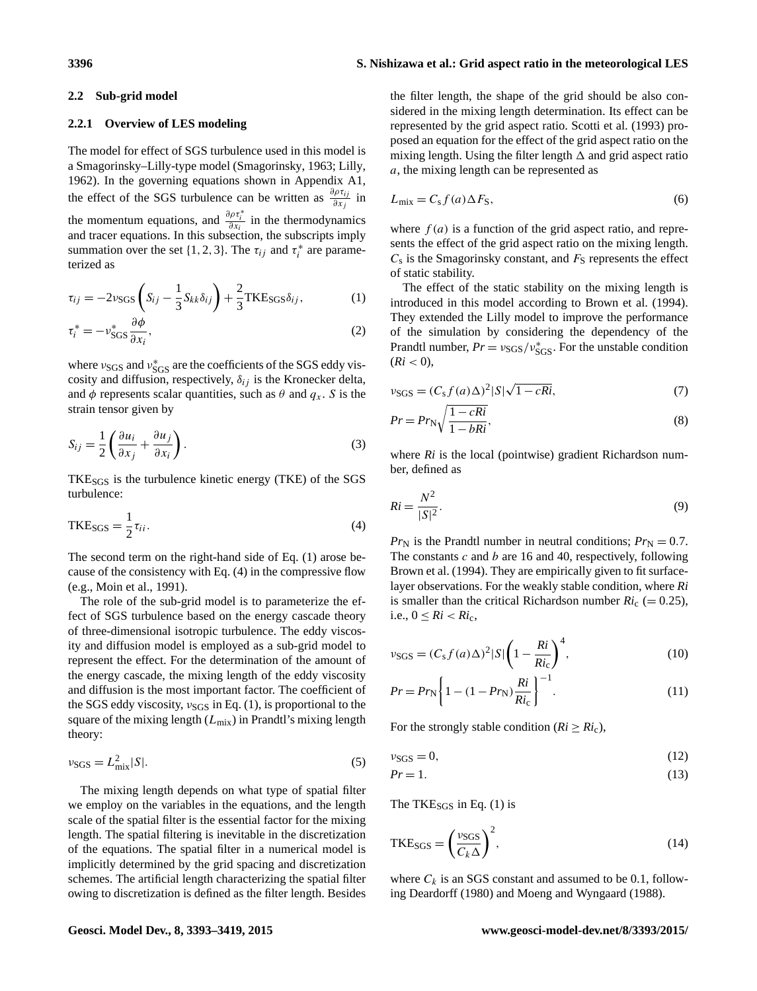# <span id="page-3-0"></span>**2.2 Sub-grid model**

#### **2.2.1 Overview of LES modeling**

The model for effect of SGS turbulence used in this model is a Smagorinsky–Lilly-type model [\(Smagorinsky,](#page-26-8) [1963;](#page-26-8) [Lilly,](#page-25-12) [1962\)](#page-25-12). In the governing equations shown in Appendix [A1,](#page-13-0) the effect of the SGS turbulence can be written as  $\frac{\partial \rho \tau_{ij}}{\partial x_j}$  in the momentum equations, and  $\frac{\partial \rho \tau_i^*}{\partial x_i}$  in the thermodynamics and tracer equations. In this subsection, the subscripts imply summation over the set {1, 2, 3}. The  $\tau_{ij}$  and  $\tau_i^*$  are parameterized as

$$
\tau_{ij} = -2\nu_{SGS}\left(S_{ij} - \frac{1}{3}S_{kk}\delta_{ij}\right) + \frac{2}{3}\text{TKE}_{SGS}\delta_{ij},\tag{1}
$$

$$
\tau_i^* = -\nu_{\text{SGS}}^* \frac{\partial \phi}{\partial x_i},\tag{2}
$$

where  $v_{SGS}$  and  $v_{SGS}^*$  are the coefficients of the SGS eddy viscosity and diffusion, respectively,  $\delta_{ij}$  is the Kronecker delta, and  $\phi$  represents scalar quantities, such as  $\theta$  and  $q_x$ . S is the strain tensor given by

<span id="page-3-4"></span>
$$
S_{ij} = \frac{1}{2} \left( \frac{\partial u_i}{\partial x_j} + \frac{\partial u_j}{\partial x_i} \right).
$$
 (3)

<span id="page-3-2"></span>TKE<sub>SGS</sub> is the turbulence kinetic energy (TKE) of the SGS turbulence:

$$
TKE_{SGS} = \frac{1}{2}\tau_{ii}.
$$
 (4)

The second term on the right-hand side of Eq. [\(1\)](#page-3-1) arose because of the consistency with Eq. [\(4\)](#page-3-2) in the compressive flow (e.g., [Moin et al.,](#page-25-13) [1991\)](#page-25-13).

The role of the sub-grid model is to parameterize the effect of SGS turbulence based on the energy cascade theory of three-dimensional isotropic turbulence. The eddy viscosity and diffusion model is employed as a sub-grid model to represent the effect. For the determination of the amount of the energy cascade, the mixing length of the eddy viscosity and diffusion is the most important factor. The coefficient of the SGS eddy viscosity,  $v_{SGS}$  in Eq. [\(1\)](#page-3-1), is proportional to the square of the mixing length  $(L_{mix})$  in Prandtl's mixing length theory:

$$
\nu_{\text{SGS}} = L_{\text{mix}}^2 |S|.
$$
\n<sup>(5)</sup>

The mixing length depends on what type of spatial filter we employ on the variables in the equations, and the length scale of the spatial filter is the essential factor for the mixing length. The spatial filtering is inevitable in the discretization of the equations. The spatial filter in a numerical model is implicitly determined by the grid spacing and discretization schemes. The artificial length characterizing the spatial filter owing to discretization is defined as the filter length. Besides

# **3396 S. Nishizawa et al.: Grid aspect ratio in the meteorological LES**

the filter length, the shape of the grid should be also considered in the mixing length determination. Its effect can be represented by the grid aspect ratio. [Scotti et al.](#page-26-9) [\(1993\)](#page-26-9) proposed an equation for the effect of the grid aspect ratio on the mixing length. Using the filter length  $\Delta$  and grid aspect ratio a, the mixing length can be represented as

<span id="page-3-3"></span>
$$
L_{\text{mix}} = C_{\text{s}} f(a) \Delta F_{\text{S}},\tag{6}
$$

where  $f(a)$  is a function of the grid aspect ratio, and represents the effect of the grid aspect ratio on the mixing length.  $C_s$  is the Smagorinsky constant, and  $F_S$  represents the effect of static stability.

<span id="page-3-1"></span>The effect of the static stability on the mixing length is introduced in this model according to [Brown et al.](#page-25-14) [\(1994\)](#page-25-14). They extended the Lilly model to improve the performance of the simulation by considering the dependency of the Prandtl number,  $Pr = v_{SGS}/v_{SGS}^*$ . For the unstable condition  $(Ri < 0),$ 

$$
\nu_{SGS} = (C_S f(a) \Delta)^2 |S| \sqrt{1 - cRi},\tag{7}
$$

$$
Pr = Pr_{\rm N} \sqrt{\frac{1 - cRi}{1 - bRi}},\tag{8}
$$

where *Ri* is the local (pointwise) gradient Richardson number, defined as

$$
Ri = \frac{N^2}{|S|^2}.\tag{9}
$$

 $Pr_{N}$  is the Prandtl number in neutral conditions;  $Pr_{N} = 0.7$ . The constants  $c$  and  $b$  are 16 and 40, respectively, following [Brown et al.](#page-25-14) [\(1994\)](#page-25-14). They are empirically given to fit surfacelayer observations. For the weakly stable condition, where *Ri* is smaller than the critical Richardson number  $Ri_c$  (= 0.25), i.e.,  $0 \leq Ri < Ri_{c}$ ,

$$
\nu_{SGS} = (C_{\rm s} f(a)\Delta)^2 |S| \left(1 - \frac{Ri}{Ri_{\rm c}}\right)^4,\tag{10}
$$

$$
Pr = Pr_{N} \left\{ 1 - (1 - Pr_{N}) \frac{Ri}{Ri_{c}} \right\}^{-1}.
$$
 (11)

For the strongly stable condition ( $Ri \geq Ri_{c}$ ),

$$
\nu_{\text{SGS}} = 0,\tag{12}
$$

$$
Pr = 1. \tag{13}
$$

The TKE $_{SGS}$  in Eq. [\(1\)](#page-3-1) is

$$
TKE_{SGS} = \left(\frac{v_{SGS}}{C_k \Delta}\right)^2,\tag{14}
$$

where  $C_k$  is an SGS constant and assumed to be 0.1, following [Deardorff](#page-25-9) [\(1980\)](#page-25-9) and [Moeng and Wyngaard](#page-25-10) [\(1988\)](#page-25-10).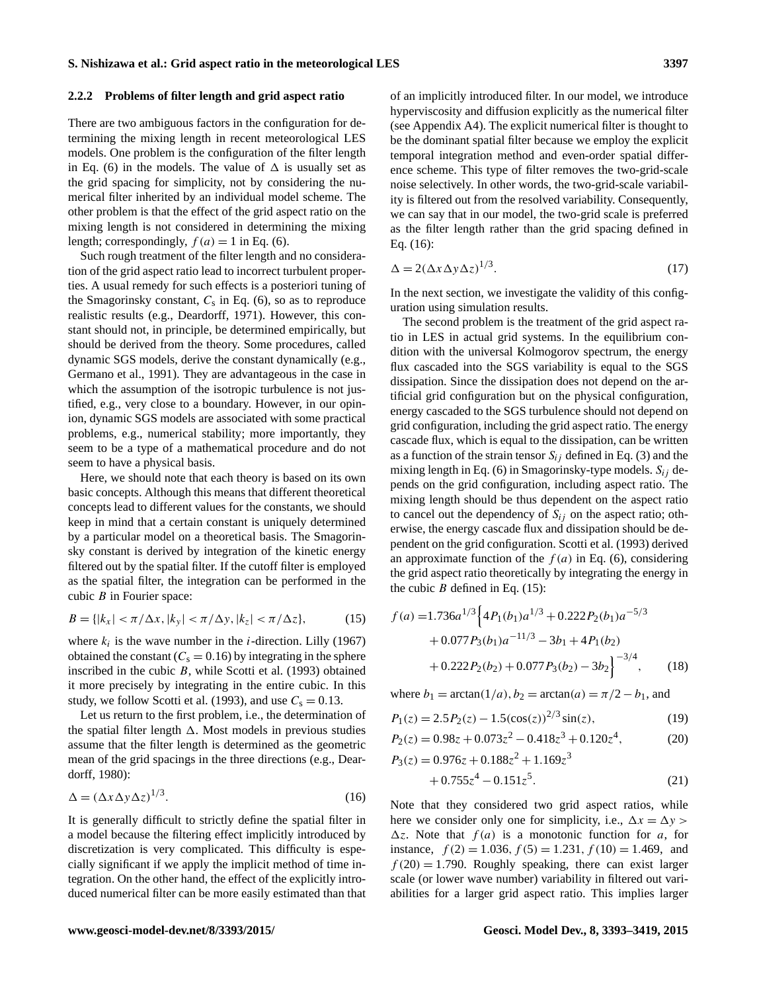#### **2.2.2 Problems of filter length and grid aspect ratio**

There are two ambiguous factors in the configuration for determining the mixing length in recent meteorological LES models. One problem is the configuration of the filter length in Eq. [\(6\)](#page-3-3) in the models. The value of  $\Delta$  is usually set as the grid spacing for simplicity, not by considering the numerical filter inherited by an individual model scheme. The other problem is that the effect of the grid aspect ratio on the mixing length is not considered in determining the mixing length; correspondingly,  $f(a) = 1$  in Eq. [\(6\)](#page-3-3).

Such rough treatment of the filter length and no consideration of the grid aspect ratio lead to incorrect turbulent properties. A usual remedy for such effects is a posteriori tuning of the Smagorinsky constant,  $C_s$  in Eq. [\(6\)](#page-3-3), so as to reproduce realistic results (e.g., [Deardorff,](#page-25-15) [1971\)](#page-25-15). However, this constant should not, in principle, be determined empirically, but should be derived from the theory. Some procedures, called dynamic SGS models, derive the constant dynamically (e.g., [Germano et al.,](#page-25-16) [1991\)](#page-25-16). They are advantageous in the case in which the assumption of the isotropic turbulence is not justified, e.g., very close to a boundary. However, in our opinion, dynamic SGS models are associated with some practical problems, e.g., numerical stability; more importantly, they seem to be a type of a mathematical procedure and do not seem to have a physical basis.

Here, we should note that each theory is based on its own basic concepts. Although this means that different theoretical concepts lead to different values for the constants, we should keep in mind that a certain constant is uniquely determined by a particular model on a theoretical basis. The Smagorinsky constant is derived by integration of the kinetic energy filtered out by the spatial filter. If the cutoff filter is employed as the spatial filter, the integration can be performed in the cubic  $B$  in Fourier space:

<span id="page-4-1"></span>
$$
B = \{|k_x| < \pi/\Delta x, |k_y| < \pi/\Delta y, |k_z| < \pi/\Delta z\},\tag{15}
$$

where  $k_i$  is the wave number in the *i*-direction. [Lilly](#page-25-17) [\(1967\)](#page-25-17) obtained the constant  $(C_s = 0.16)$  by integrating in the sphere inscribed in the cubic  $B$ , while [Scotti et al.](#page-26-9) [\(1993\)](#page-26-9) obtained it more precisely by integrating in the entire cubic. In this study, we follow [Scotti et al.](#page-26-9) [\(1993\)](#page-26-9), and use  $C_s = 0.13$ .

Let us return to the first problem, i.e., the determination of the spatial filter length  $\Delta$ . Most models in previous studies assume that the filter length is determined as the geometric mean of the grid spacings in the three directions (e.g., [Dear](#page-25-9)[dorff,](#page-25-9) [1980\)](#page-25-9):

<span id="page-4-0"></span>
$$
\Delta = (\Delta x \Delta y \Delta z)^{1/3}.
$$
 (16)

It is generally difficult to strictly define the spatial filter in a model because the filtering effect implicitly introduced by discretization is very complicated. This difficulty is especially significant if we apply the implicit method of time integration. On the other hand, the effect of the explicitly introduced numerical filter can be more easily estimated than that of an implicitly introduced filter. In our model, we introduce hyperviscosity and diffusion explicitly as the numerical filter (see Appendix [A4\)](#page-20-0). The explicit numerical filter is thought to be the dominant spatial filter because we employ the explicit temporal integration method and even-order spatial difference scheme. This type of filter removes the two-grid-scale noise selectively. In other words, the two-grid-scale variability is filtered out from the resolved variability. Consequently, we can say that in our model, the two-grid scale is preferred as the filter length rather than the grid spacing defined in Eq. [\(16\)](#page-4-0):

<span id="page-4-3"></span>
$$
\Delta = 2(\Delta x \Delta y \Delta z)^{1/3}.
$$
 (17)

In the next section, we investigate the validity of this configuration using simulation results.

The second problem is the treatment of the grid aspect ratio in LES in actual grid systems. In the equilibrium condition with the universal Kolmogorov spectrum, the energy flux cascaded into the SGS variability is equal to the SGS dissipation. Since the dissipation does not depend on the artificial grid configuration but on the physical configuration, energy cascaded to the SGS turbulence should not depend on grid configuration, including the grid aspect ratio. The energy cascade flux, which is equal to the dissipation, can be written as a function of the strain tensor  $S_{ij}$  defined in Eq. [\(3\)](#page-3-4) and the mixing length in Eq. [\(6\)](#page-3-3) in Smagorinsky-type models.  $S_{ij}$  depends on the grid configuration, including aspect ratio. The mixing length should be thus dependent on the aspect ratio to cancel out the dependency of  $S_{ij}$  on the aspect ratio; otherwise, the energy cascade flux and dissipation should be dependent on the grid configuration. [Scotti et al.](#page-26-9) [\(1993\)](#page-26-9) derived an approximate function of the  $f(a)$  in Eq. [\(6\)](#page-3-3), considering the grid aspect ratio theoretically by integrating the energy in the cubic  $B$  defined in Eq. [\(15\)](#page-4-1):

$$
f(a) = 1.736a^{1/3} \left\{ 4P_1(b_1)a^{1/3} + 0.222P_2(b_1)a^{-5/3} + 0.077P_3(b_1)a^{-11/3} - 3b_1 + 4P_1(b_2) + 0.222P_2(b_2) + 0.077P_3(b_2) - 3b_2 \right\}^{-3/4},
$$
 (18)

<span id="page-4-2"></span>where  $b_1 = \arctan(1/a)$ ,  $b_2 = \arctan(a) = \pi/2 - b_1$ , and

$$
P_1(z) = 2.5 P_2(z) - 1.5(\cos(z))^{2/3} \sin(z),\tag{19}
$$

$$
P_2(z) = 0.98z + 0.073z^2 - 0.418z^3 + 0.120z^4, \tag{20}
$$

$$
P_3(z) = 0.976z + 0.188z^2 + 1.169z^3
$$
  
+ 0.755z<sup>4</sup> - 0.151z<sup>5</sup>. (21)

Note that they considered two grid aspect ratios, while here we consider only one for simplicity, i.e.,  $\Delta x = \Delta y$  $\Delta z$ . Note that  $f(a)$  is a monotonic function for a, for instance,  $f(2) = 1.036$ ,  $f(5) = 1.231$ ,  $f(10) = 1.469$ , and  $f(20) = 1.790$ . Roughly speaking, there can exist larger scale (or lower wave number) variability in filtered out variabilities for a larger grid aspect ratio. This implies larger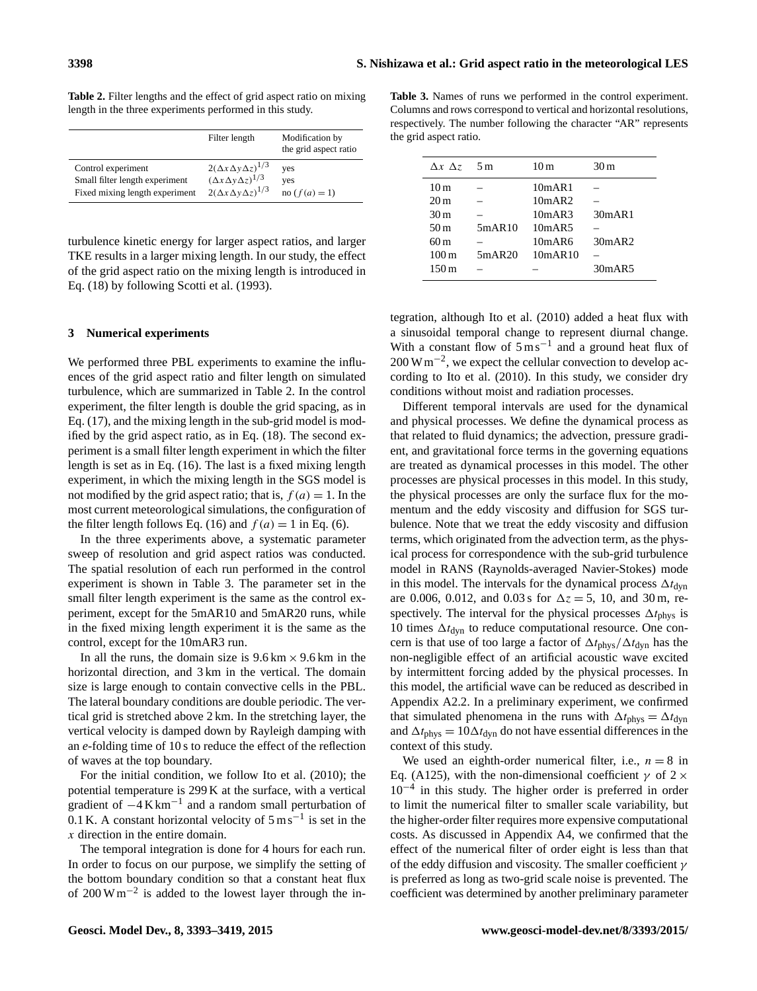|                                | Filter length                         | Modification by<br>the grid aspect ratio |
|--------------------------------|---------------------------------------|------------------------------------------|
| Control experiment             | $2(\Delta x \Delta y \Delta z)^{1/3}$ | yes                                      |
| Small filter length experiment | $(\Delta x \Delta y \Delta z)^{1/3}$  | yes                                      |
| Fixed mixing length experiment | $2(\Delta x \Delta y \Delta z)^{1/3}$ | no $(f(a) = 1)$                          |

<span id="page-5-1"></span>**Table 2.** Filter lengths and the effect of grid aspect ratio on mixing length in the three experiments performed in this study.

turbulence kinetic energy for larger aspect ratios, and larger TKE results in a larger mixing length. In our study, the effect of the grid aspect ratio on the mixing length is introduced in Eq. [\(18\)](#page-4-2) by following [Scotti et al.](#page-26-9) [\(1993\)](#page-26-9).

#### <span id="page-5-0"></span>**3 Numerical experiments**

We performed three PBL experiments to examine the influences of the grid aspect ratio and filter length on simulated turbulence, which are summarized in Table [2.](#page-5-1) In the control experiment, the filter length is double the grid spacing, as in Eq. [\(17\)](#page-4-3), and the mixing length in the sub-grid model is modified by the grid aspect ratio, as in Eq. [\(18\)](#page-4-2). The second experiment is a small filter length experiment in which the filter length is set as in Eq. [\(16\)](#page-4-0). The last is a fixed mixing length experiment, in which the mixing length in the SGS model is not modified by the grid aspect ratio; that is,  $f(a) = 1$ . In the most current meteorological simulations, the configuration of the filter length follows Eq. [\(16\)](#page-4-0) and  $f(a) = 1$  in Eq. [\(6\)](#page-3-3).

In the three experiments above, a systematic parameter sweep of resolution and grid aspect ratios was conducted. The spatial resolution of each run performed in the control experiment is shown in Table [3.](#page-5-2) The parameter set in the small filter length experiment is the same as the control experiment, except for the 5mAR10 and 5mAR20 runs, while in the fixed mixing length experiment it is the same as the control, except for the 10mAR3 run.

In all the runs, the domain size is  $9.6 \text{ km} \times 9.6 \text{ km}$  in the horizontal direction, and 3 km in the vertical. The domain size is large enough to contain convective cells in the PBL. The lateral boundary conditions are double periodic. The vertical grid is stretched above 2 km. In the stretching layer, the vertical velocity is damped down by Rayleigh damping with an *e*-folding time of 10 s to reduce the effect of the reflection of waves at the top boundary.

For the initial condition, we follow [Ito et al.](#page-25-18) [\(2010\)](#page-25-18); the potential temperature is 299 K at the surface, with a vertical gradient of −4 K km−<sup>1</sup> and a random small perturbation of 0.1 K. A constant horizontal velocity of  $5 \text{ m s}^{-1}$  is set in the x direction in the entire domain.

The temporal integration is done for 4 hours for each run. In order to focus on our purpose, we simplify the setting of the bottom boundary condition so that a constant heat flux of 200 W m−<sup>2</sup> is added to the lowest layer through the in-

<span id="page-5-2"></span>**Table 3.** Names of runs we performed in the control experiment. Columns and rows correspond to vertical and horizontal resolutions, respectively. The number following the character "AR" represents the grid aspect ratio.

| $\Delta x \Delta z$ | 5m     | 10 <sub>m</sub> | 30 m   |
|---------------------|--------|-----------------|--------|
| 10 <sub>m</sub>     |        | 10mAR1          |        |
| 20 <sub>m</sub>     |        | 10mAR2          |        |
| 30 <sub>m</sub>     |        | 10mAR3          | 30mAR1 |
| 50 m                | 5mAR10 | 10mAR5          |        |
| 60 m                |        | 10mAR6          | 30mAR2 |
| 100 <sub>m</sub>    | 5mAR20 | 10mAR10         |        |
| 150m                |        |                 | 30mAR5 |

tegration, although [Ito et al.](#page-25-18) [\(2010\)](#page-25-18) added a heat flux with a sinusoidal temporal change to represent diurnal change. With a constant flow of  $5 \text{ m s}^{-1}$  and a ground heat flux of 200 W m<sup>-2</sup>, we expect the cellular convection to develop according to [Ito et al.](#page-25-18) [\(2010\)](#page-25-18). In this study, we consider dry conditions without moist and radiation processes.

Different temporal intervals are used for the dynamical and physical processes. We define the dynamical process as that related to fluid dynamics; the advection, pressure gradient, and gravitational force terms in the governing equations are treated as dynamical processes in this model. The other processes are physical processes in this model. In this study, the physical processes are only the surface flux for the momentum and the eddy viscosity and diffusion for SGS turbulence. Note that we treat the eddy viscosity and diffusion terms, which originated from the advection term, as the physical process for correspondence with the sub-grid turbulence model in RANS (Raynolds-averaged Navier-Stokes) mode in this model. The intervals for the dynamical process  $\Delta t_{\text{dyn}}$ are 0.006, 0.012, and 0.03 s for  $\Delta z = 5$ , 10, and 30 m, respectively. The interval for the physical processes  $\Delta t_{\rm phys}$  is 10 times  $\Delta t_{\text{dyn}}$  to reduce computational resource. One concern is that use of too large a factor of  $\Delta t_{\rm phys}/\Delta t_{\rm dyn}$  has the non-negligible effect of an artificial acoustic wave excited by intermittent forcing added by the physical processes. In this model, the artificial wave can be reduced as described in Appendix [A2.2.](#page-16-0) In a preliminary experiment, we confirmed that simulated phenomena in the runs with  $\Delta t_{\rm phys} = \Delta t_{\rm dyn}$ and  $\Delta t_{\rm phys} = 10\Delta t_{\rm dyn}$  do not have essential differences in the context of this study.

We used an eighth-order numerical filter, i.e.,  $n = 8$  in Eq. [\(A125\)](#page-20-1), with the non-dimensional coefficient  $\gamma$  of 2  $\times$ 10−<sup>4</sup> in this study. The higher order is preferred in order to limit the numerical filter to smaller scale variability, but the higher-order filter requires more expensive computational costs. As discussed in Appendix [A4,](#page-20-0) we confirmed that the effect of the numerical filter of order eight is less than that of the eddy diffusion and viscosity. The smaller coefficient  $\gamma$ is preferred as long as two-grid scale noise is prevented. The coefficient was determined by another preliminary parameter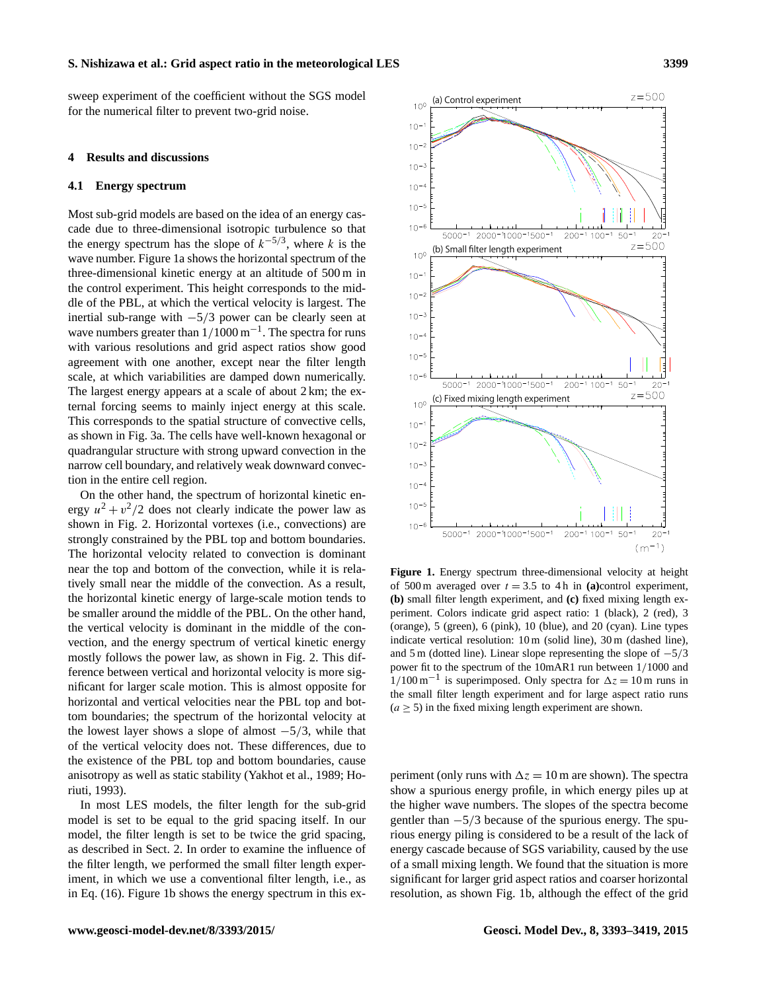sweep experiment of the coefficient without the SGS model for the numerical filter to prevent two-grid noise.

#### <span id="page-6-0"></span>**4 Results and discussions**

#### **4.1 Energy spectrum**

Most sub-grid models are based on the idea of an energy cascade due to three-dimensional isotropic turbulence so that the energy spectrum has the slope of  $k^{-5/3}$ , where k is the wave number. Figure [1a](#page-6-1) shows the horizontal spectrum of the three-dimensional kinetic energy at an altitude of 500 m in the control experiment. This height corresponds to the middle of the PBL, at which the vertical velocity is largest. The inertial sub-range with  $-5/3$  power can be clearly seen at wave numbers greater than  $1/1000 \text{ m}^{-1}$ . The spectra for runs with various resolutions and grid aspect ratios show good agreement with one another, except near the filter length scale, at which variabilities are damped down numerically. The largest energy appears at a scale of about 2 km; the external forcing seems to mainly inject energy at this scale. This corresponds to the spatial structure of convective cells, as shown in Fig. [3a](#page-8-0). The cells have well-known hexagonal or quadrangular structure with strong upward convection in the narrow cell boundary, and relatively weak downward convection in the entire cell region.

On the other hand, the spectrum of horizontal kinetic energy  $u^2 + v^2/2$  does not clearly indicate the power law as shown in Fig. [2.](#page-7-0) Horizontal vortexes (i.e., convections) are strongly constrained by the PBL top and bottom boundaries. The horizontal velocity related to convection is dominant near the top and bottom of the convection, while it is relatively small near the middle of the convection. As a result, the horizontal kinetic energy of large-scale motion tends to be smaller around the middle of the PBL. On the other hand, the vertical velocity is dominant in the middle of the convection, and the energy spectrum of vertical kinetic energy mostly follows the power law, as shown in Fig. [2.](#page-7-0) This difference between vertical and horizontal velocity is more significant for larger scale motion. This is almost opposite for horizontal and vertical velocities near the PBL top and bottom boundaries; the spectrum of the horizontal velocity at the lowest layer shows a slope of almost  $-5/3$ , while that of the vertical velocity does not. These differences, due to the existence of the PBL top and bottom boundaries, cause anisotropy as well as static stability [\(Yakhot et al.,](#page-26-10) [1989;](#page-26-10) [Ho](#page-25-19)[riuti,](#page-25-19) [1993\)](#page-25-19).

In most LES models, the filter length for the sub-grid model is set to be equal to the grid spacing itself. In our model, the filter length is set to be twice the grid spacing, as described in Sect. [2.](#page-1-0) In order to examine the influence of the filter length, we performed the small filter length experiment, in which we use a conventional filter length, i.e., as in Eq. [\(16\)](#page-4-0). Figure [1b](#page-6-1) shows the energy spectrum in this ex-

<span id="page-6-1"></span>

**Figure 1.** Energy spectrum three-dimensional velocity at height of 500 m averaged over  $t = 3.5$  to 4 h in (a)control experiment, **(b)** small filter length experiment, and **(c)** fixed mixing length experiment. Colors indicate grid aspect ratio: 1 (black), 2 (red), 3 (orange), 5 (green), 6 (pink), 10 (blue), and 20 (cyan). Line types indicate vertical resolution: 10 m (solid line), 30 m (dashed line), and 5 m (dotted line). Linear slope representing the slope of  $-5/3$ power fit to the spectrum of the 10mAR1 run between 1/1000 and  $1/100 \text{ m}^{-1}$  is superimposed. Only spectra for  $\Delta z = 10 \text{ m}$  runs in the small filter length experiment and for large aspect ratio runs  $(a \ge 5)$  in the fixed mixing length experiment are shown.

periment (only runs with  $\Delta z = 10$  m are shown). The spectra show a spurious energy profile, in which energy piles up at the higher wave numbers. The slopes of the spectra become gentler than  $-5/3$  because of the spurious energy. The spurious energy piling is considered to be a result of the lack of energy cascade because of SGS variability, caused by the use of a small mixing length. We found that the situation is more significant for larger grid aspect ratios and coarser horizontal resolution, as shown Fig. [1b](#page-6-1), although the effect of the grid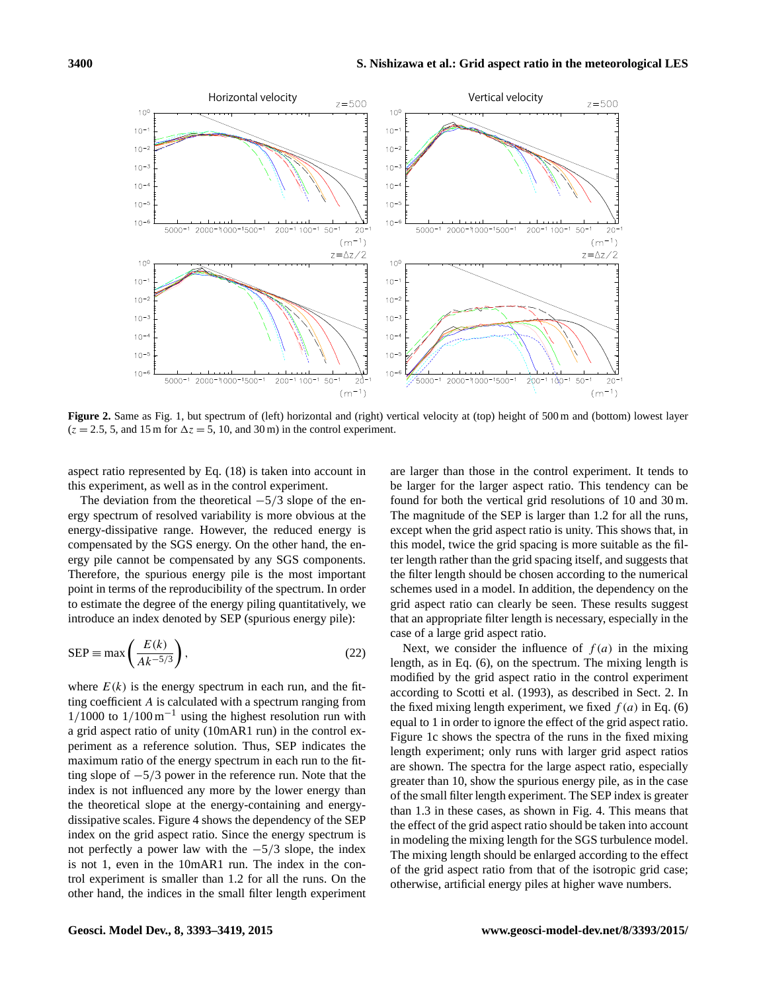<span id="page-7-0"></span>

**Figure 2.** Same as Fig. [1,](#page-6-1) but spectrum of (left) horizontal and (right) vertical velocity at (top) height of 500 m and (bottom) lowest layer  $(z = 2.5, 5, \text{ and } 15 \text{ m}$  for  $\Delta z = 5, 10, \text{ and } 30 \text{ m}$  in the control experiment.

 $(m^{-1})$ 

aspect ratio represented by Eq. [\(18\)](#page-4-2) is taken into account in this experiment, as well as in the control experiment.

The deviation from the theoretical  $-5/3$  slope of the energy spectrum of resolved variability is more obvious at the energy-dissipative range. However, the reduced energy is compensated by the SGS energy. On the other hand, the energy pile cannot be compensated by any SGS components. Therefore, the spurious energy pile is the most important point in terms of the reproducibility of the spectrum. In order to estimate the degree of the energy piling quantitatively, we introduce an index denoted by SEP (spurious energy pile):

$$
SEP \equiv \max\left(\frac{E(k)}{Ak^{-5/3}}\right),\tag{22}
$$

where  $E(k)$  is the energy spectrum in each run, and the fitting coefficient A is calculated with a spectrum ranging from  $1/1000$  to  $1/100 \text{ m}^{-1}$  using the highest resolution run with a grid aspect ratio of unity (10mAR1 run) in the control experiment as a reference solution. Thus, SEP indicates the maximum ratio of the energy spectrum in each run to the fitting slope of −5/3 power in the reference run. Note that the index is not influenced any more by the lower energy than the theoretical slope at the energy-containing and energydissipative scales. Figure [4](#page-8-1) shows the dependency of the SEP index on the grid aspect ratio. Since the energy spectrum is not perfectly a power law with the  $-5/3$  slope, the index is not 1, even in the 10mAR1 run. The index in the control experiment is smaller than 1.2 for all the runs. On the other hand, the indices in the small filter length experiment are larger than those in the control experiment. It tends to be larger for the larger aspect ratio. This tendency can be found for both the vertical grid resolutions of 10 and 30 m. The magnitude of the SEP is larger than 1.2 for all the runs, except when the grid aspect ratio is unity. This shows that, in this model, twice the grid spacing is more suitable as the filter length rather than the grid spacing itself, and suggests that the filter length should be chosen according to the numerical schemes used in a model. In addition, the dependency on the grid aspect ratio can clearly be seen. These results suggest that an appropriate filter length is necessary, especially in the case of a large grid aspect ratio.

 $-1)$  $(m)$ 

Next, we consider the influence of  $f(a)$  in the mixing length, as in Eq. [\(6\)](#page-3-3), on the spectrum. The mixing length is modified by the grid aspect ratio in the control experiment according to [Scotti et al.](#page-26-9) [\(1993\)](#page-26-9), as described in Sect. [2.](#page-1-0) In the fixed mixing length experiment, we fixed  $f(a)$  in Eq. [\(6\)](#page-3-3) equal to 1 in order to ignore the effect of the grid aspect ratio. Figure [1c](#page-6-1) shows the spectra of the runs in the fixed mixing length experiment; only runs with larger grid aspect ratios are shown. The spectra for the large aspect ratio, especially greater than 10, show the spurious energy pile, as in the case of the small filter length experiment. The SEP index is greater than 1.3 in these cases, as shown in Fig. [4.](#page-8-1) This means that the effect of the grid aspect ratio should be taken into account in modeling the mixing length for the SGS turbulence model. The mixing length should be enlarged according to the effect of the grid aspect ratio from that of the isotropic grid case; otherwise, artificial energy piles at higher wave numbers.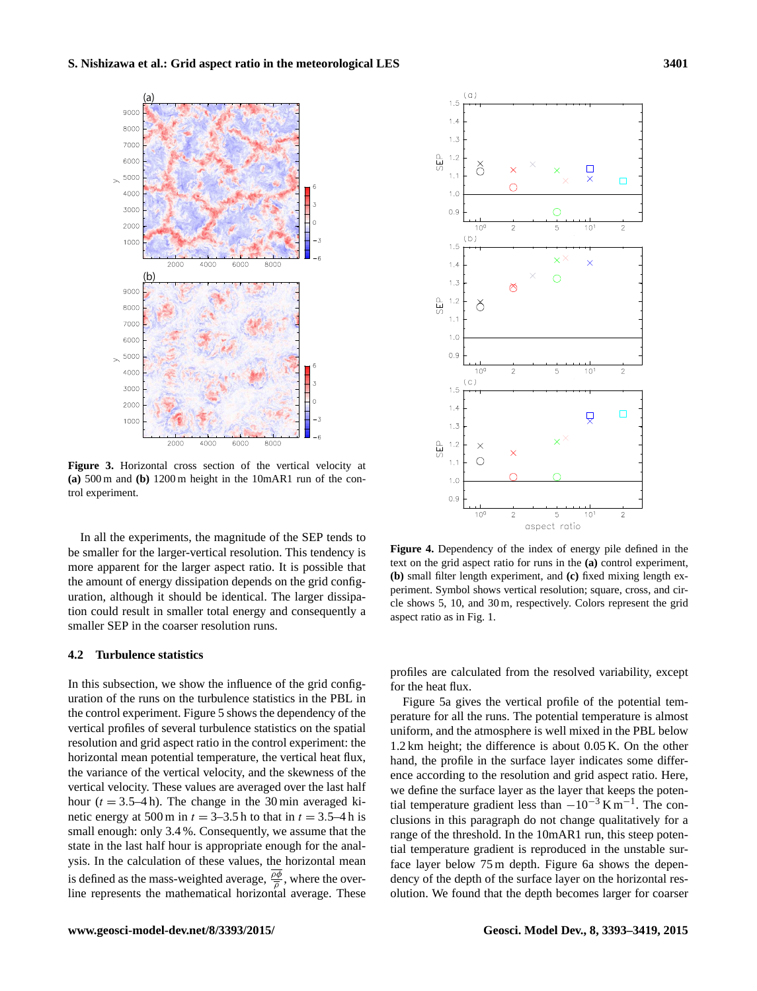<span id="page-8-0"></span>

**Figure 3.** Horizontal cross section of the vertical velocity at **(a)** 500 m and **(b)** 1200 m height in the 10mAR1 run of the control experiment.

In all the experiments, the magnitude of the SEP tends to be smaller for the larger-vertical resolution. This tendency is more apparent for the larger aspect ratio. It is possible that the amount of energy dissipation depends on the grid configuration, although it should be identical. The larger dissipation could result in smaller total energy and consequently a smaller SEP in the coarser resolution runs.

#### **4.2 Turbulence statistics**

In this subsection, we show the influence of the grid configuration of the runs on the turbulence statistics in the PBL in the control experiment. Figure [5](#page-9-0) shows the dependency of the vertical profiles of several turbulence statistics on the spatial resolution and grid aspect ratio in the control experiment: the horizontal mean potential temperature, the vertical heat flux, the variance of the vertical velocity, and the skewness of the vertical velocity. These values are averaged over the last half hour  $(t = 3.5-4 h)$ . The change in the 30 min averaged kinetic energy at 500 m in  $t = 3-3.5$  h to that in  $t = 3.5-4$  h is small enough: only 3.4 %. Consequently, we assume that the state in the last half hour is appropriate enough for the analysis. In the calculation of these values, the horizontal mean is defined as the mass-weighted average,  $\frac{\rho \phi}{\overline{\rho}}$ , where the overline represents the mathematical horizontal average. These

<span id="page-8-1"></span>

**Figure 4.** Dependency of the index of energy pile defined in the text on the grid aspect ratio for runs in the **(a)** control experiment, **(b)** small filter length experiment, and **(c)** fixed mixing length experiment. Symbol shows vertical resolution; square, cross, and circle shows 5, 10, and 30 m, respectively. Colors represent the grid aspect ratio as in Fig. [1.](#page-6-1)

profiles are calculated from the resolved variability, except for the heat flux.

Figure [5a](#page-9-0) gives the vertical profile of the potential temperature for all the runs. The potential temperature is almost uniform, and the atmosphere is well mixed in the PBL below 1.2 km height; the difference is about 0.05 K. On the other hand, the profile in the surface layer indicates some difference according to the resolution and grid aspect ratio. Here, we define the surface layer as the layer that keeps the potential temperature gradient less than  $-10^{-3}$  K m<sup>-1</sup>. The conclusions in this paragraph do not change qualitatively for a range of the threshold. In the 10mAR1 run, this steep potential temperature gradient is reproduced in the unstable surface layer below 75 m depth. Figure [6a](#page-10-0) shows the dependency of the depth of the surface layer on the horizontal resolution. We found that the depth becomes larger for coarser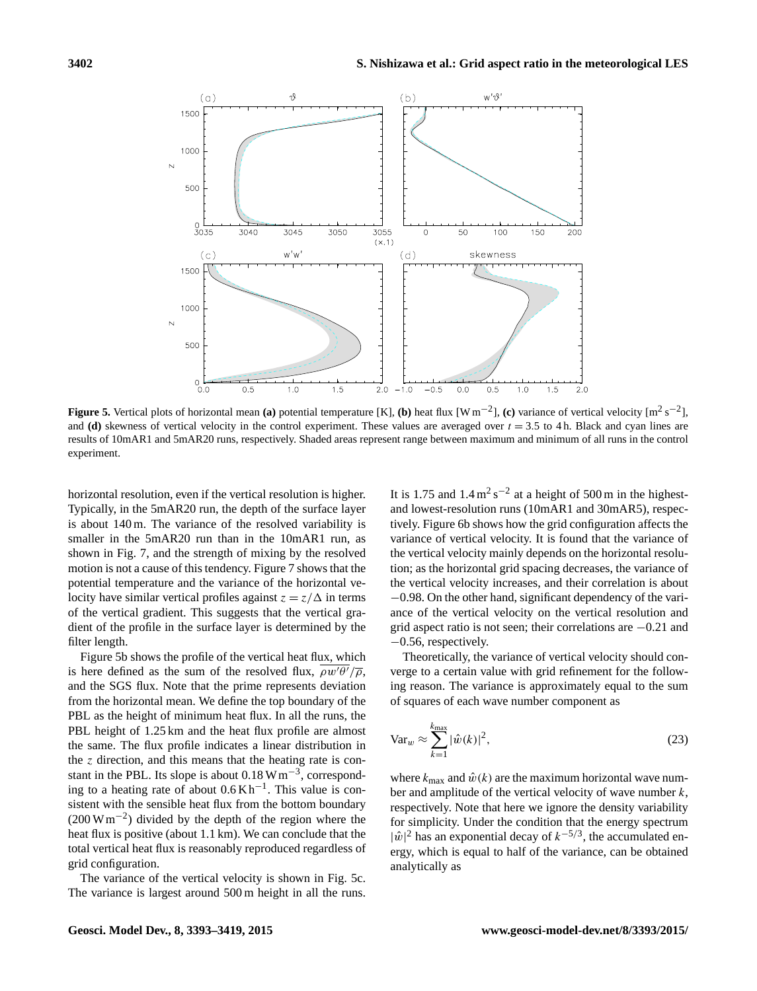<span id="page-9-0"></span>

**Figure 5.** Vertical plots of horizontal mean (a) potential temperature [K], (b) heat flux [W m<sup>-2</sup>], (c) variance of vertical velocity [m<sup>2</sup> s<sup>-2</sup>], and **(d)** skewness of vertical velocity in the control experiment. These values are averaged over  $t = 3.5$  to 4 h. Black and cyan lines are results of 10mAR1 and 5mAR20 runs, respectively. Shaded areas represent range between maximum and minimum of all runs in the control experiment.

horizontal resolution, even if the vertical resolution is higher. Typically, in the 5mAR20 run, the depth of the surface layer is about 140 m. The variance of the resolved variability is smaller in the 5mAR20 run than in the 10mAR1 run, as shown in Fig. [7,](#page-11-1) and the strength of mixing by the resolved motion is not a cause of this tendency. Figure [7](#page-11-1) shows that the potential temperature and the variance of the horizontal velocity have similar vertical profiles against  $z = z/\Delta$  in terms of the vertical gradient. This suggests that the vertical gradient of the profile in the surface layer is determined by the filter length.

Figure [5b](#page-9-0) shows the profile of the vertical heat flux, which is here defined as the sum of the resolved flux,  $\rho w' \theta'/\overline{\rho}$ , and the SGS flux. Note that the prime represents deviation from the horizontal mean. We define the top boundary of the PBL as the height of minimum heat flux. In all the runs, the PBL height of 1.25 km and the heat flux profile are almost the same. The flux profile indicates a linear distribution in the z direction, and this means that the heating rate is constant in the PBL. Its slope is about  $0.18 \text{ W m}^{-3}$ , corresponding to a heating rate of about  $0.6 \text{ K h}^{-1}$ . This value is consistent with the sensible heat flux from the bottom boundary (200 W m−<sup>2</sup> ) divided by the depth of the region where the heat flux is positive (about 1.1 km). We can conclude that the total vertical heat flux is reasonably reproduced regardless of grid configuration.

The variance of the vertical velocity is shown in Fig. [5c](#page-9-0). The variance is largest around 500 m height in all the runs.

It is 1.75 and  $1.4 \,\mathrm{m^2\,s^{-2}}$  at a height of 500 m in the highestand lowest-resolution runs (10mAR1 and 30mAR5), respectively. Figure [6b](#page-10-0) shows how the grid configuration affects the variance of vertical velocity. It is found that the variance of the vertical velocity mainly depends on the horizontal resolution; as the horizontal grid spacing decreases, the variance of the vertical velocity increases, and their correlation is about −0.98. On the other hand, significant dependency of the variance of the vertical velocity on the vertical resolution and grid aspect ratio is not seen; their correlations are −0.21 and −0.56, respectively.

Theoretically, the variance of vertical velocity should converge to a certain value with grid refinement for the following reason. The variance is approximately equal to the sum of squares of each wave number component as

$$
\text{Var}_w \approx \sum_{k=1}^{k_{\text{max}}} |\hat{w}(k)|^2,
$$
\n(23)

where  $k_{\text{max}}$  and  $\hat{w}(k)$  are the maximum horizontal wave number and amplitude of the vertical velocity of wave number  $k$ , respectively. Note that here we ignore the density variability for simplicity. Under the condition that the energy spectrum  $|\hat{w}|^2$  has an exponential decay of  $k^{-5/3}$ , the accumulated energy, which is equal to half of the variance, can be obtained analytically as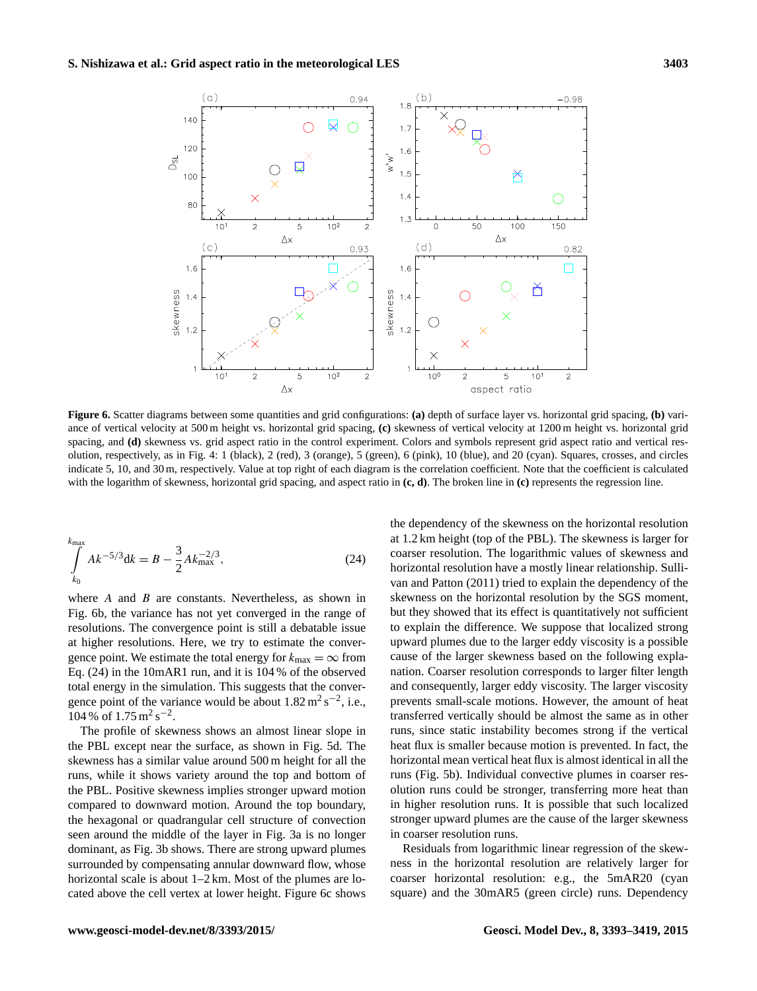<span id="page-10-0"></span>

**Figure 6.** Scatter diagrams between some quantities and grid configurations: **(a)** depth of surface layer vs. horizontal grid spacing, **(b)** variance of vertical velocity at 500 m height vs. horizontal grid spacing, **(c)** skewness of vertical velocity at 1200 m height vs. horizontal grid spacing, and **(d)** skewness vs. grid aspect ratio in the control experiment. Colors and symbols represent grid aspect ratio and vertical resolution, respectively, as in Fig. [4:](#page-8-1) 1 (black), 2 (red), 3 (orange), 5 (green), 6 (pink), 10 (blue), and 20 (cyan). Squares, crosses, and circles indicate 5, 10, and 30 m, respectively. Value at top right of each diagram is the correlation coefficient. Note that the coefficient is calculated with the logarithm of skewness, horizontal grid spacing, and aspect ratio in **(c, d)**. The broken line in **(c)** represents the regression line.

<span id="page-10-1"></span>
$$
\int_{k_0}^{k_{\text{max}}} Ak^{-5/3} dk = B - \frac{3}{2} Ak_{\text{max}}^{-2/3},
$$
\n(24)

where  $A$  and  $B$  are constants. Nevertheless, as shown in Fig. [6b](#page-10-0), the variance has not yet converged in the range of resolutions. The convergence point is still a debatable issue at higher resolutions. Here, we try to estimate the convergence point. We estimate the total energy for  $k_{\text{max}} = \infty$  from Eq. [\(24\)](#page-10-1) in the 10mAR1 run, and it is 104 % of the observed total energy in the simulation. This suggests that the convergence point of the variance would be about  $1.82 \text{ m}^2 \text{ s}^{-2}$ , i.e.,  $104\% \text{ of } 1.75 \text{ m}^2 \text{ s}^{-2}$ .

The profile of skewness shows an almost linear slope in the PBL except near the surface, as shown in Fig. [5d](#page-9-0). The skewness has a similar value around 500 m height for all the runs, while it shows variety around the top and bottom of the PBL. Positive skewness implies stronger upward motion compared to downward motion. Around the top boundary, the hexagonal or quadrangular cell structure of convection seen around the middle of the layer in Fig. [3a](#page-8-0) is no longer dominant, as Fig. [3b](#page-8-0) shows. There are strong upward plumes surrounded by compensating annular downward flow, whose horizontal scale is about  $1-2$  km. Most of the plumes are located above the cell vertex at lower height. Figure [6c](#page-10-0) shows the dependency of the skewness on the horizontal resolution at 1.2 km height (top of the PBL). The skewness is larger for coarser resolution. The logarithmic values of skewness and horizontal resolution have a mostly linear relationship. [Sulli](#page-26-11)[van and Patton](#page-26-11) [\(2011\)](#page-26-11) tried to explain the dependency of the skewness on the horizontal resolution by the SGS moment, but they showed that its effect is quantitatively not sufficient to explain the difference. We suppose that localized strong upward plumes due to the larger eddy viscosity is a possible cause of the larger skewness based on the following explanation. Coarser resolution corresponds to larger filter length and consequently, larger eddy viscosity. The larger viscosity prevents small-scale motions. However, the amount of heat transferred vertically should be almost the same as in other runs, since static instability becomes strong if the vertical heat flux is smaller because motion is prevented. In fact, the horizontal mean vertical heat flux is almost identical in all the runs (Fig. [5b](#page-9-0)). Individual convective plumes in coarser resolution runs could be stronger, transferring more heat than in higher resolution runs. It is possible that such localized stronger upward plumes are the cause of the larger skewness in coarser resolution runs.

Residuals from logarithmic linear regression of the skewness in the horizontal resolution are relatively larger for coarser horizontal resolution: e.g., the 5mAR20 (cyan square) and the 30mAR5 (green circle) runs. Dependency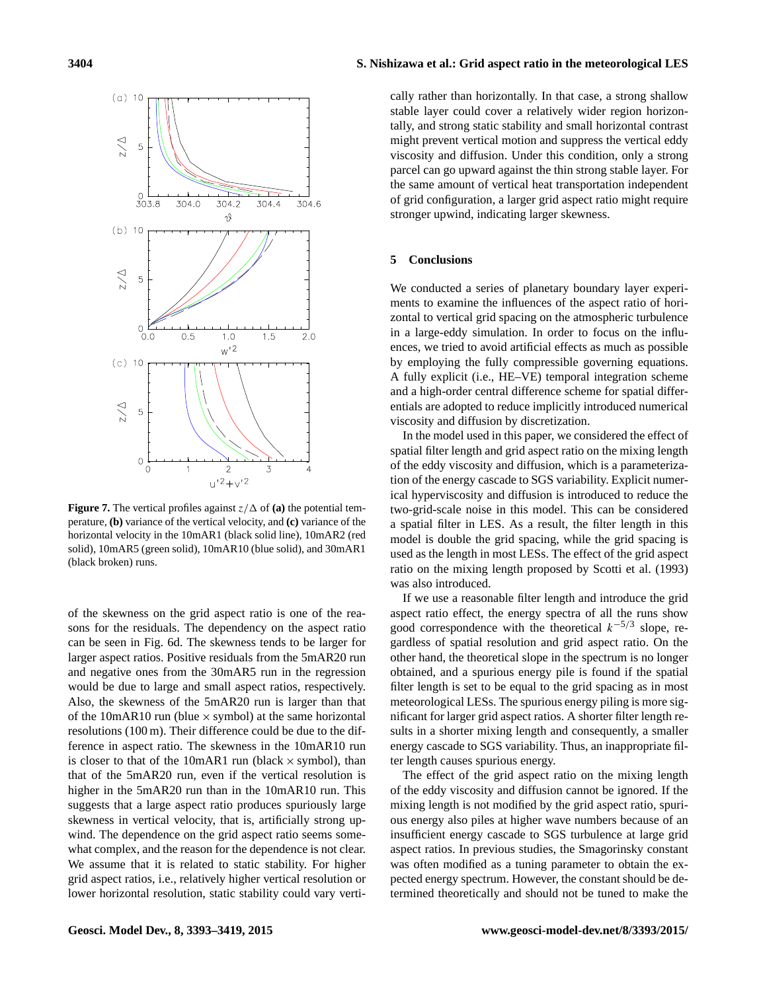<span id="page-11-1"></span>

**Figure 7.** The vertical profiles against  $z/\Delta$  of **(a)** the potential temperature, **(b)** variance of the vertical velocity, and **(c)** variance of the horizontal velocity in the 10mAR1 (black solid line), 10mAR2 (red solid), 10mAR5 (green solid), 10mAR10 (blue solid), and 30mAR1 (black broken) runs.

of the skewness on the grid aspect ratio is one of the reasons for the residuals. The dependency on the aspect ratio can be seen in Fig. [6d](#page-10-0). The skewness tends to be larger for larger aspect ratios. Positive residuals from the 5mAR20 run and negative ones from the 30mAR5 run in the regression would be due to large and small aspect ratios, respectively. Also, the skewness of the 5mAR20 run is larger than that of the 10mAR10 run (blue  $\times$  symbol) at the same horizontal resolutions (100 m). Their difference could be due to the difference in aspect ratio. The skewness in the 10mAR10 run is closer to that of the 10mAR1 run (black  $\times$  symbol), than that of the 5mAR20 run, even if the vertical resolution is higher in the 5mAR20 run than in the 10mAR10 run. This suggests that a large aspect ratio produces spuriously large skewness in vertical velocity, that is, artificially strong upwind. The dependence on the grid aspect ratio seems somewhat complex, and the reason for the dependence is not clear. We assume that it is related to static stability. For higher grid aspect ratios, i.e., relatively higher vertical resolution or lower horizontal resolution, static stability could vary vertically rather than horizontally. In that case, a strong shallow stable layer could cover a relatively wider region horizontally, and strong static stability and small horizontal contrast might prevent vertical motion and suppress the vertical eddy viscosity and diffusion. Under this condition, only a strong parcel can go upward against the thin strong stable layer. For the same amount of vertical heat transportation independent of grid configuration, a larger grid aspect ratio might require stronger upwind, indicating larger skewness.

#### <span id="page-11-0"></span>**5 Conclusions**

We conducted a series of planetary boundary layer experiments to examine the influences of the aspect ratio of horizontal to vertical grid spacing on the atmospheric turbulence in a large-eddy simulation. In order to focus on the influences, we tried to avoid artificial effects as much as possible by employing the fully compressible governing equations. A fully explicit (i.e., HE–VE) temporal integration scheme and a high-order central difference scheme for spatial differentials are adopted to reduce implicitly introduced numerical viscosity and diffusion by discretization.

In the model used in this paper, we considered the effect of spatial filter length and grid aspect ratio on the mixing length of the eddy viscosity and diffusion, which is a parameterization of the energy cascade to SGS variability. Explicit numerical hyperviscosity and diffusion is introduced to reduce the two-grid-scale noise in this model. This can be considered a spatial filter in LES. As a result, the filter length in this model is double the grid spacing, while the grid spacing is used as the length in most LESs. The effect of the grid aspect ratio on the mixing length proposed by [Scotti et al.](#page-26-9) [\(1993\)](#page-26-9) was also introduced.

If we use a reasonable filter length and introduce the grid aspect ratio effect, the energy spectra of all the runs show good correspondence with the theoretical  $k^{-5/3}$  slope, regardless of spatial resolution and grid aspect ratio. On the other hand, the theoretical slope in the spectrum is no longer obtained, and a spurious energy pile is found if the spatial filter length is set to be equal to the grid spacing as in most meteorological LESs. The spurious energy piling is more significant for larger grid aspect ratios. A shorter filter length results in a shorter mixing length and consequently, a smaller energy cascade to SGS variability. Thus, an inappropriate filter length causes spurious energy.

The effect of the grid aspect ratio on the mixing length of the eddy viscosity and diffusion cannot be ignored. If the mixing length is not modified by the grid aspect ratio, spurious energy also piles at higher wave numbers because of an insufficient energy cascade to SGS turbulence at large grid aspect ratios. In previous studies, the Smagorinsky constant was often modified as a tuning parameter to obtain the expected energy spectrum. However, the constant should be determined theoretically and should not be tuned to make the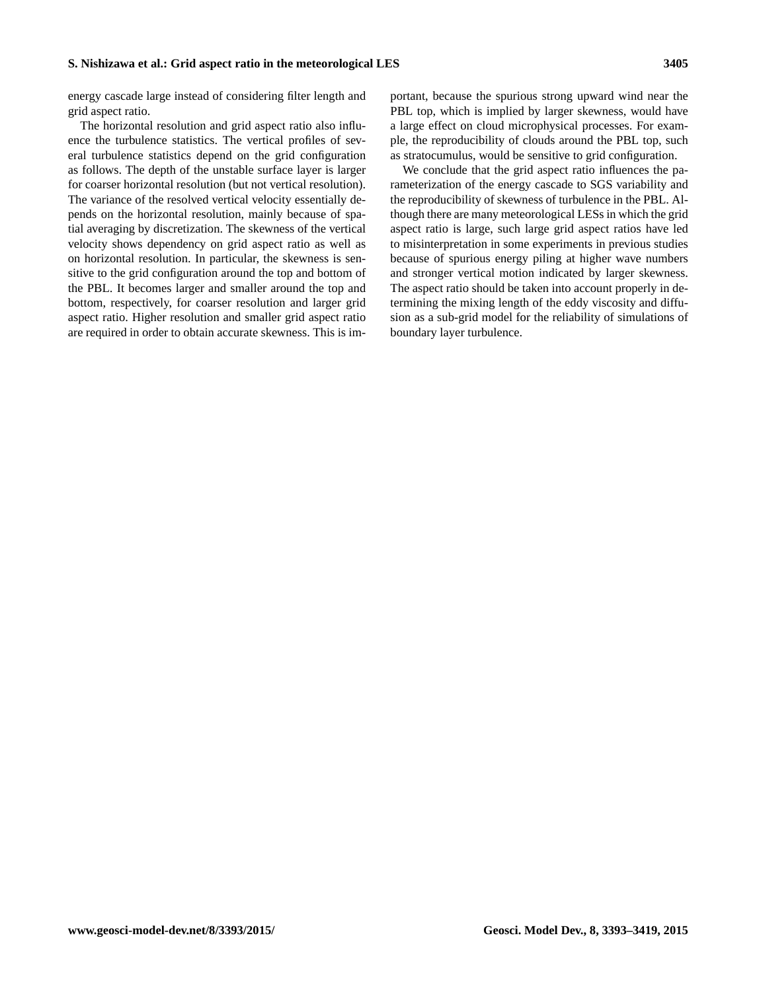energy cascade large instead of considering filter length and grid aspect ratio.

The horizontal resolution and grid aspect ratio also influence the turbulence statistics. The vertical profiles of several turbulence statistics depend on the grid configuration as follows. The depth of the unstable surface layer is larger for coarser horizontal resolution (but not vertical resolution). The variance of the resolved vertical velocity essentially depends on the horizontal resolution, mainly because of spatial averaging by discretization. The skewness of the vertical velocity shows dependency on grid aspect ratio as well as on horizontal resolution. In particular, the skewness is sensitive to the grid configuration around the top and bottom of the PBL. It becomes larger and smaller around the top and bottom, respectively, for coarser resolution and larger grid aspect ratio. Higher resolution and smaller grid aspect ratio are required in order to obtain accurate skewness. This is important, because the spurious strong upward wind near the PBL top, which is implied by larger skewness, would have a large effect on cloud microphysical processes. For example, the reproducibility of clouds around the PBL top, such as stratocumulus, would be sensitive to grid configuration.

We conclude that the grid aspect ratio influences the parameterization of the energy cascade to SGS variability and the reproducibility of skewness of turbulence in the PBL. Although there are many meteorological LESs in which the grid aspect ratio is large, such large grid aspect ratios have led to misinterpretation in some experiments in previous studies because of spurious energy piling at higher wave numbers and stronger vertical motion indicated by larger skewness. The aspect ratio should be taken into account properly in determining the mixing length of the eddy viscosity and diffusion as a sub-grid model for the reliability of simulations of boundary layer turbulence.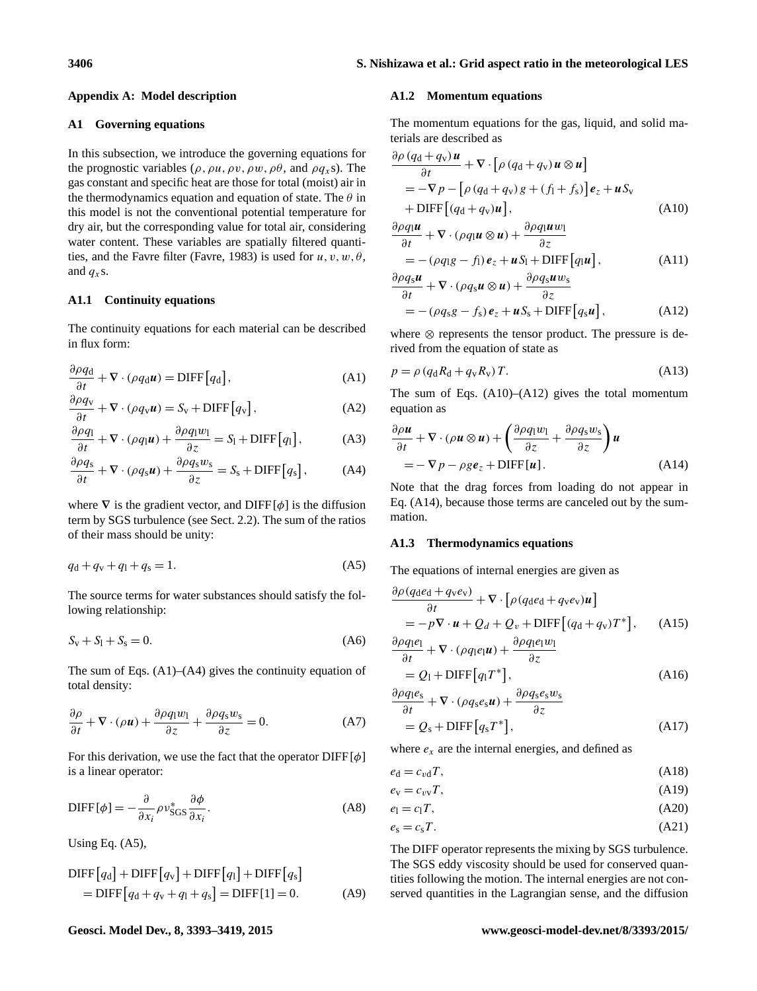#### **Appendix A: Model description**

#### <span id="page-13-0"></span>**A1 Governing equations**

In this subsection, we introduce the governing equations for the prognostic variables ( $\rho$ ,  $\rho u$ ,  $\rho v$ ,  $\rho w$ ,  $\rho \theta$ , and  $\rho q_x s$ ). The gas constant and specific heat are those for total (moist) air in the thermodynamics equation and equation of state. The  $\theta$  in this model is not the conventional potential temperature for dry air, but the corresponding value for total air, considering water content. These variables are spatially filtered quanti-ties, and the Favre filter [\(Favre,](#page-25-20) [1983\)](#page-25-20) is used for  $u, v, w, \theta$ , and  $q_x$ s.

## **A1.1 Continuity equations**

The continuity equations for each material can be described in flux form:

$$
\frac{\partial \rho q_{\rm d}}{\partial t} + \nabla \cdot (\rho q_{\rm d} \boldsymbol{u}) = \text{DIFF}\big[q_{\rm d}\big],\tag{A1}
$$

$$
\frac{\partial \rho q_{\rm v}}{\partial t} + \nabla \cdot (\rho q_{\rm v} \boldsymbol{u}) = S_{\rm v} + \text{DIFF}\big[q_{\rm v}\big],\tag{A2}
$$

$$
\frac{\partial \rho q_1}{\partial t} + \nabla \cdot (\rho q_1 \mathbf{u}) + \frac{\partial \rho q_1 w_1}{\partial z} = S_1 + \text{DIFF}[q_1],\tag{A3}
$$

$$
\frac{\partial \rho q_s}{\partial t} + \nabla \cdot (\rho q_s \mathbf{u}) + \frac{\partial \rho q_s w_s}{\partial z} = S_s + \text{DIFF}\big[q_s\big],\tag{A4}
$$

<span id="page-13-3"></span>where  $\nabla$  is the gradient vector, and DIFF[ $\phi$ ] is the diffusion term by SGS turbulence (see Sect. [2.2\)](#page-3-0). The sum of the ratios of their mass should be unity:

$$
q_{\rm d} + q_{\rm v} + q_{\rm l} + q_{\rm s} = 1. \tag{A5}
$$

The source terms for water substances should satisfy the following relationship:

$$
S_{v} + S_{l} + S_{s} = 0.
$$
 (A6)

<span id="page-13-10"></span>The sum of Eqs.  $(A1)$ – $(A4)$  gives the continuity equation of total density:

$$
\frac{\partial \rho}{\partial t} + \nabla \cdot (\rho \mathbf{u}) + \frac{\partial \rho q_1 w_1}{\partial z} + \frac{\partial \rho q_s w_s}{\partial z} = 0.
$$
 (A7)

For this derivation, we use the fact that the operator  $\text{DIFF}[\phi]$ is a linear operator:

$$
\text{DIFF}[\phi] = -\frac{\partial}{\partial x_i} \rho v_{\text{SGS}}^* \frac{\partial \phi}{\partial x_i}.
$$
 (A8)

Using Eq. [\(A5\)](#page-13-3),

$$
DIFF[q_d] + DIFF[q_v] + DIFF[q_1] + DIFF[q_s]
$$
  
= DIFF[q\_d + q\_v + q\_1 + q\_s] = DIFF[1] = 0. (A9)

# **A1.2 Momentum equations**

The momentum equations for the gas, liquid, and solid materials are described as

$$
\frac{\partial \rho (q_{\rm d} + q_{\rm v}) \boldsymbol{u}}{\partial t} + \nabla \cdot [\rho (q_{\rm d} + q_{\rm v}) \boldsymbol{u} \otimes \boldsymbol{u}] \n= -\nabla p - [\rho (q_{\rm d} + q_{\rm v}) g + (f_{\rm l} + f_{\rm s})] \boldsymbol{e}_z + \boldsymbol{u} S_{\rm v} \n+ \text{DIFF}[(q_{\rm d} + q_{\rm v}) \boldsymbol{u}], \tag{A10}
$$

<span id="page-13-4"></span>
$$
\frac{\partial \rho q_1 \mathbf{u}}{\partial t} + \nabla \cdot (\rho q_1 \mathbf{u} \otimes \mathbf{u}) + \frac{\partial \rho q_1 \mathbf{u} w_1}{\partial z} \n= -(\rho q_1 g - f_1) \mathbf{e}_z + \mathbf{u} S_1 + \text{DIFF}[q_1 \mathbf{u}],
$$
\n(A11)

<span id="page-13-5"></span>
$$
\frac{\partial \rho q_s \mathbf{u}}{\partial t} + \nabla \cdot (\rho q_s \mathbf{u} \otimes \mathbf{u}) + \frac{\partial \rho q_s \mathbf{u} w_s}{\partial z} \n= -(\rho q_s g - f_s) \mathbf{e}_z + \mathbf{u} S_s + \text{DIFF}\big[q_s \mathbf{u}\big],
$$
\n(A12)

<span id="page-13-11"></span>where ⊗ represents the tensor product. The pressure is derived from the equation of state as

<span id="page-13-1"></span>
$$
p = \rho \left( q_d R_d + q_v R_v \right) T. \tag{A13}
$$

<span id="page-13-9"></span>The sum of Eqs.  $(A10)$ – $(A12)$  gives the total momentum equation as

<span id="page-13-6"></span>
$$
\frac{\partial \rho \mathbf{u}}{\partial t} + \nabla \cdot (\rho \mathbf{u} \otimes \mathbf{u}) + \left( \frac{\partial \rho q_1 w_1}{\partial z} + \frac{\partial \rho q_s w_s}{\partial z} \right) \mathbf{u}
$$
  
=  $-\nabla p - \rho g \mathbf{e}_z + \text{DIFF}[\mathbf{u}].$  (A14)

<span id="page-13-2"></span>Note that the drag forces from loading do not appear in Eq. [\(A14\)](#page-13-6), because those terms are canceled out by the summation.

#### **A1.3 Thermodynamics equations**

The equations of internal energies are given as

<span id="page-13-7"></span>
$$
\frac{\partial \rho (q_{\rm d}e_{\rm d} + q_{\rm v}e_{\rm v})}{\partial t} + \nabla \cdot [\rho (q_{\rm d}e_{\rm d} + q_{\rm v}e_{\rm v})\mathbf{u}]
$$
  
=  $-p\nabla \cdot \mathbf{u} + Q_d + Q_v + \text{DIFF}[(q_{\rm d} + q_{\rm v})T^*],$  (A15)

$$
\frac{\partial \rho q_{\text{I}} e_1}{\partial t} + \nabla \cdot (\rho q_{\text{I}} e_1 \mathbf{u}) + \frac{\partial \rho q_{\text{I}} e_1 w_1}{\partial z}
$$
\n
$$
= Q_1 + \text{DIFF}\big[q_1 T^*\big],\tag{A16}
$$

<span id="page-13-8"></span>
$$
\frac{\partial \rho q_1 e_s}{\partial t} + \nabla \cdot (\rho q_s e_s \mathbf{u}) + \frac{\partial \rho q_s e_s w_s}{\partial z}
$$
  
=  $Q_s + \text{DIFF}[q_s T^*],$  (A17)

where  $e_x$  are the internal energies, and defined as

<span id="page-13-12"></span>
$$
e_{\rm d} = c_{\rm vd} T,\tag{A18}
$$

$$
e_{v} = c_{vv}T, \tag{A19}
$$

<span id="page-13-13"></span>
$$
e_1 = c_1 T,\tag{A20}
$$

$$
e_{\rm s} = c_{\rm s}T. \tag{A21}
$$

The DIFF operator represents the mixing by SGS turbulence. The SGS eddy viscosity should be used for conserved quantities following the motion. The internal energies are not conserved quantities in the Lagrangian sense, and the diffusion

#### **Geosci. Model Dev., 8, 3393[–3419,](#page-0-0) 2015 www.geosci-model-dev.net/8/3393/2015/**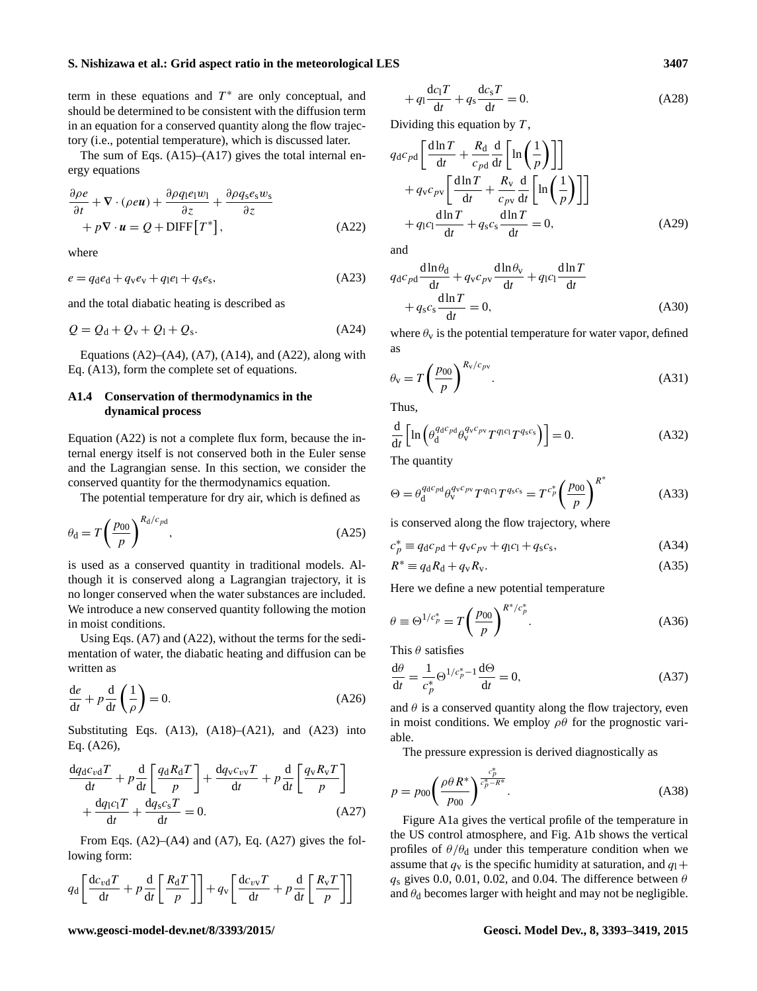term in these equations and  $T^*$  are only conceptual, and should be determined to be consistent with the diffusion term in an equation for a conserved quantity along the flow trajectory (i.e., potential temperature), which is discussed later.

The sum of Eqs. [\(A15\)](#page-13-7)–[\(A17\)](#page-13-8) gives the total internal energy equations

$$
\frac{\partial \rho e}{\partial t} + \nabla \cdot (\rho e \mathbf{u}) + \frac{\partial \rho q_1 e_1 w_1}{\partial z} + \frac{\partial \rho q_s e_s w_s}{\partial z} + p \nabla \cdot \mathbf{u} = Q + \text{DIFF}\big[T^*\big],\tag{A22}
$$

<span id="page-14-1"></span>where

$$
e = q_{\rm d}e_{\rm d} + q_{\rm v}e_{\rm v} + q_{\rm l}e_{\rm l} + q_{\rm s}e_{\rm s},\tag{A23}
$$

and the total diabatic heating is described as

$$
Q = Qd + Qv + Q1 + Qs.
$$
 (A24)

Equations  $(A2)$ – $(A4)$ ,  $(A7)$ ,  $(A14)$ , and  $(A22)$ , along with Eq. [\(A13\)](#page-13-11), form the complete set of equations.

# **A1.4 Conservation of thermodynamics in the dynamical process**

Equation [\(A22\)](#page-14-0) is not a complete flux form, because the internal energy itself is not conserved both in the Euler sense and the Lagrangian sense. In this section, we consider the conserved quantity for the thermodynamics equation.

The potential temperature for dry air, which is defined as

$$
\theta_{\rm d} = T \left(\frac{p_{00}}{p}\right)^{R_{\rm d}/c_{pd}},\tag{A25}
$$

is used as a conserved quantity in traditional models. Although it is conserved along a Lagrangian trajectory, it is no longer conserved when the water substances are included. We introduce a new conserved quantity following the motion in moist conditions.

Using Eqs. [\(A7\)](#page-13-10) and [\(A22\)](#page-14-0), without the terms for the sedimentation of water, the diabatic heating and diffusion can be written as

<span id="page-14-2"></span>
$$
\frac{de}{dt} + p\frac{d}{dt}\left(\frac{1}{\rho}\right) = 0.
$$
\n(A26)

Substituting Eqs.  $(A13)$ ,  $(A18)$ – $(A21)$ , and  $(A23)$  into Eq. [\(A26\)](#page-14-2),

$$
\frac{dq_d c_{vd} T}{dt} + p \frac{d}{dt} \left[ \frac{q_d R_d T}{p} \right] + \frac{dq_v c_{vv} T}{dt} + p \frac{d}{dt} \left[ \frac{q_v R_v T}{p} \right] + \frac{dq_l c_l T}{dt} + \frac{dq_s c_s T}{dt} = 0.
$$
\n(A27)

From Eqs.  $(A2)$ – $(A4)$  and  $(A7)$ , Eq.  $(A27)$  gives the following form:

$$
q_{\rm d} \left[ \frac{\mathrm{d}c_{\rm vd}T}{\mathrm{d}t} + p \frac{\mathrm{d}}{\mathrm{d}t} \left[ \frac{R_{\rm d}T}{p} \right] \right] + q_{\rm v} \left[ \frac{\mathrm{d}c_{\rm vv}T}{\mathrm{d}t} + p \frac{\mathrm{d}}{\mathrm{d}t} \left[ \frac{R_{\rm v}T}{p} \right] \right]
$$

$$
+ q_1 \frac{\mathrm{d}c_1 T}{\mathrm{d}t} + q_s \frac{\mathrm{d}c_s T}{\mathrm{d}t} = 0.
$$
 (A28)

Dividing this equation by  $T$ ,

$$
q_{d}c_{pd} \left[ \frac{d\ln T}{dt} + \frac{R_{d}}{c_{pd}} \frac{d}{dt} \left[ \ln \left( \frac{1}{p} \right) \right] \right] + q_{v}c_{pv} \left[ \frac{d\ln T}{dt} + \frac{R_{v}}{c_{pv}} \frac{d}{dt} \left[ \ln \left( \frac{1}{p} \right) \right] \right] + q_{1}c_{1} \frac{d\ln T}{dt} + q_{s}c_{s} \frac{d\ln T}{dt} = 0,
$$
 (A29)

<span id="page-14-0"></span>and

$$
q_{d}c_{pd}\frac{d\ln\theta_{d}}{dt} + q_{v}c_{pv}\frac{d\ln\theta_{v}}{dt} + q_{l}c_{l}\frac{d\ln T}{dt}
$$

$$
+ q_{s}c_{s}\frac{d\ln T}{dt} = 0, \qquad (A30)
$$

where  $\theta_{\rm v}$  is the potential temperature for water vapor, defined as

$$
\theta_{\rm v} = T \left(\frac{p_{00}}{p}\right)^{R_{\rm v}/c_{\rm pv}}.\tag{A31}
$$

<span id="page-14-4"></span>Thus,

$$
\frac{\mathrm{d}}{\mathrm{d}t} \left[ \ln \left( \theta_{\mathrm{d}}^{q_{\mathrm{d}}c_{\mathrm{pd}}} \theta_{\mathrm{v}}^{q_{\mathrm{v}}c_{\mathrm{pv}}} T^{q_{\mathrm{l}}c_{\mathrm{l}}} T^{q_{\mathrm{s}}c_{\mathrm{s}}} \right) \right] = 0. \tag{A32}
$$

The quantity

$$
\Theta = \theta_{\rm d}^{q_{\rm d}c_{\rm pd}} \theta_{\rm v}^{q_{\rm v}c_{\rm pv}} T^{q_{\rm l}c_{\rm l}} T^{q_{\rm s}c_{\rm s}} = T^{c_p^*} \left(\frac{p_{\rm 00}}{p}\right)^{R^*} \tag{A33}
$$

is conserved along the flow trajectory, where

$$
c_p^* \equiv q_d c_{pd} + q_v c_{pv} + q_l c_l + q_s c_s,\tag{A34}
$$

<span id="page-14-5"></span>
$$
R^* \equiv q_d R_d + q_v R_v. \tag{A35}
$$

Here we define a new potential temperature

$$
\theta \equiv \Theta^{1/c_p^*} = T \left(\frac{p_{00}}{p}\right)^{R^*/c_p^*}.
$$
\n(A36)

This  $\theta$  satisfies

$$
\frac{d\theta}{dt} = \frac{1}{c_p^*} \Theta^{1/c_p^* - 1} \frac{d\Theta}{dt} = 0,
$$
\n(A37)

and  $\theta$  is a conserved quantity along the flow trajectory, even in moist conditions. We employ  $\rho\theta$  for the prognostic variable.

The pressure expression is derived diagnostically as

$$
p = p_{00} \left( \frac{\rho \theta R^*}{p_{00}} \right)^{\frac{c_p^*}{c_p^* - R^*}}.
$$
 (A38)

<span id="page-14-3"></span>Figure [A1a](#page-15-1) gives the vertical profile of the temperature in the US control atmosphere, and Fig. [A1b](#page-15-1) shows the vertical profiles of  $\theta/\theta_d$  under this temperature condition when we assume that  $q_v$  is the specific humidity at saturation, and  $q_1 +$  $q_s$  gives 0.0, 0.01, 0.02, and 0.04. The difference between  $\theta$ and  $\theta_d$  becomes larger with height and may not be negligible.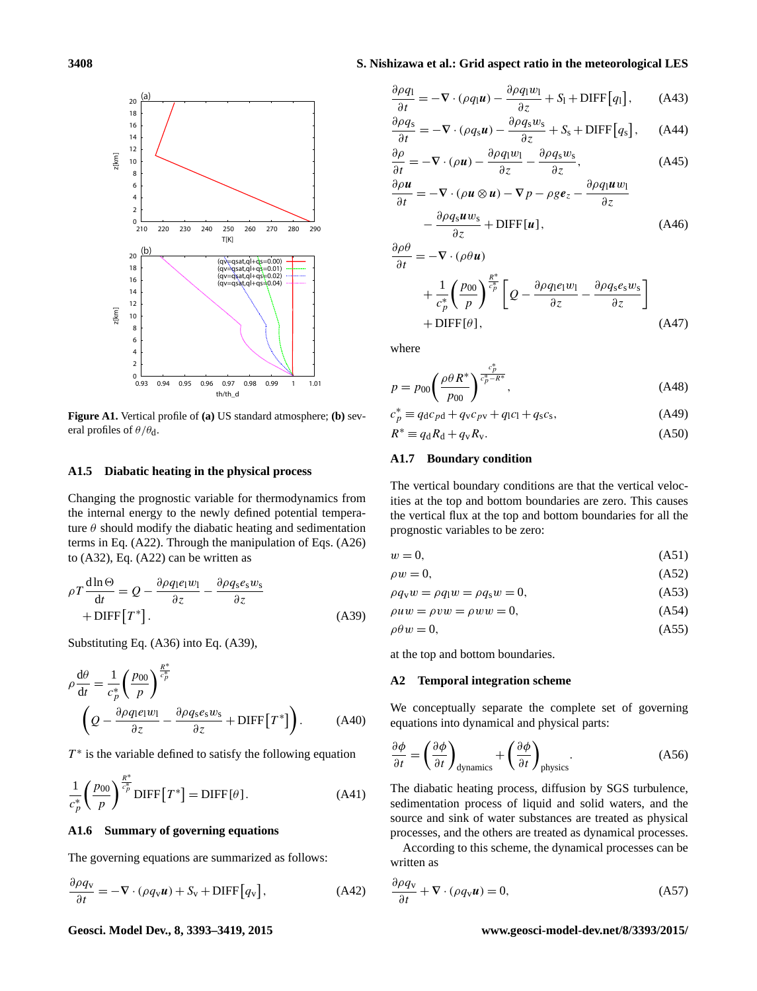

**Figure A1.** Vertical profile of **(a)** US standard atmosphere; **(b)** several profiles of  $\theta/\theta_d$ .

#### **A1.5 Diabatic heating in the physical process**

Changing the prognostic variable for thermodynamics from the internal energy to the newly defined potential temperature  $\theta$  should modify the diabatic heating and sedimentation terms in Eq. [\(A22\)](#page-14-0). Through the manipulation of Eqs. [\(A26\)](#page-14-2) to [\(A32\)](#page-14-4), Eq. [\(A22\)](#page-14-0) can be written as

$$
\rho T \frac{\text{d}\ln\Theta}{\text{d}t} = Q - \frac{\partial \rho q_1 e_1 w_1}{\partial z} - \frac{\partial \rho q_s e_s w_s}{\partial z} + \text{DIFF}[T^*].
$$
\n(A39)

Substituting Eq. [\(A36\)](#page-14-5) into Eq. [\(A39\)](#page-15-2),

$$
\rho \frac{d\theta}{dt} = \frac{1}{c_p^*} \left( \frac{p_{00}}{p} \right)^{\frac{R^*}{c_p^*}} \n\left( Q - \frac{\partial \rho q_1 e_1 w_1}{\partial z} - \frac{\partial \rho q_s e_s w_s}{\partial z} + \text{DIFF}\left[T^*\right] \right).
$$
\n(A40)

 $T^*$  is the variable defined to satisfy the following equation

$$
\frac{1}{c_p^*} \left(\frac{p_{00}}{p}\right)^{\frac{R^*}{c_p^*}} \text{DIFF}\left[T^*\right] = \text{DIFF}\left[\theta\right].\tag{A41}
$$

#### **A1.6 Summary of governing equations**

The governing equations are summarized as follows:

$$
\frac{\partial \rho q_{\rm v}}{\partial t} = -\nabla \cdot (\rho q_{\rm v} \boldsymbol{u}) + S_{\rm v} + \text{DIFF}\big[q_{\rm v}\big],\tag{A42}
$$

# <span id="page-15-1"></span>**3408 S. Nishizawa et al.: Grid aspect ratio in the meteorological LES**

$$
\frac{\partial \rho q_1}{\partial t} = -\nabla \cdot (\rho q_1 \mathbf{u}) - \frac{\partial \rho q_1 w_1}{\partial z} + S_1 + \text{DIFF}\big[q_1\big],\tag{A43}
$$

$$
\frac{\partial \rho q_s}{\partial t} = -\nabla \cdot (\rho q_s \mathbf{u}) - \frac{\partial \rho q_s w_s}{\partial z} + S_s + \text{DIFF}\big[q_s\big],\qquad(A44)
$$

$$
\frac{\partial \rho}{\partial t} = -\nabla \cdot (\rho \mathbf{u}) - \frac{\partial \rho q_1 w_1}{\partial z} - \frac{\partial \rho q_s w_s}{\partial z},\tag{A45}
$$

$$
\frac{\partial \rho \mathbf{u}}{\partial t} = -\nabla \cdot (\rho \mathbf{u} \otimes \mathbf{u}) - \nabla p - \rho g \mathbf{e}_z - \frac{\partial \rho q_1 \mathbf{u} w_1}{\partial z} \n- \frac{\partial \rho q_s \mathbf{u} w_s}{\partial z} + \text{DIFF}[\mathbf{u}],
$$
\n(A46)

$$
\frac{\partial \rho \theta}{\partial t} = -\nabla \cdot (\rho \theta \mathbf{u}) \n+ \frac{1}{c_p^*} \left( \frac{p_{00}}{p} \right)^{\frac{R^*}{c_p^*}} \left[ Q - \frac{\partial \rho q_1 e_1 w_1}{\partial z} - \frac{\partial \rho q_s e_s w_s}{\partial z} \right] \n+ \text{DIFF}[\theta],
$$
\n(A47)

where

$$
p = p_{00} \left( \frac{\rho \theta R^*}{p_{00}} \right)^{\frac{c_p^*}{c_p^* - R^*}},
$$
\n(A48)

$$
c_p^* \equiv q_d c_{pd} + q_v c_{pv} + q_l c_l + q_s c_s,\tag{A49}
$$

$$
R^* \equiv q_d R_d + q_v R_v. \tag{A50}
$$

#### **A1.7 Boundary condition**

The vertical boundary conditions are that the vertical velocities at the top and bottom boundaries are zero. This causes the vertical flux at the top and bottom boundaries for all the prognostic variables to be zero:

$$
w = 0,\tag{A51}
$$

$$
\rho w = 0,\tag{A52}
$$

$$
\rho q_{\rm v} w = \rho q_{\rm l} w = \rho q_{\rm s} w = 0,\tag{A53}
$$

<span id="page-15-2"></span>
$$
\rho uw = \rho vw = \rho w w = 0,\tag{A54}
$$

$$
\rho \theta w = 0,\tag{A55}
$$

at the top and bottom boundaries.

#### <span id="page-15-0"></span>**A2 Temporal integration scheme**

We conceptually separate the complete set of governing equations into dynamical and physical parts:

$$
\frac{\partial \phi}{\partial t} = \left(\frac{\partial \phi}{\partial t}\right)_{\text{dynamics}} + \left(\frac{\partial \phi}{\partial t}\right)_{\text{physics}}.\tag{A56}
$$

The diabatic heating process, diffusion by SGS turbulence, sedimentation process of liquid and solid waters, and the source and sink of water substances are treated as physical processes, and the others are treated as dynamical processes.

According to this scheme, the dynamical processes can be written as

$$
\frac{\partial \rho q_{\mathbf{v}}}{\partial t} + \nabla \cdot (\rho q_{\mathbf{v}} \mathbf{u}) = 0, \tag{A57}
$$

#### **Geosci. Model Dev., 8, 3393[–3419,](#page-0-0) 2015 www.geosci-model-dev.net/8/3393/2015/**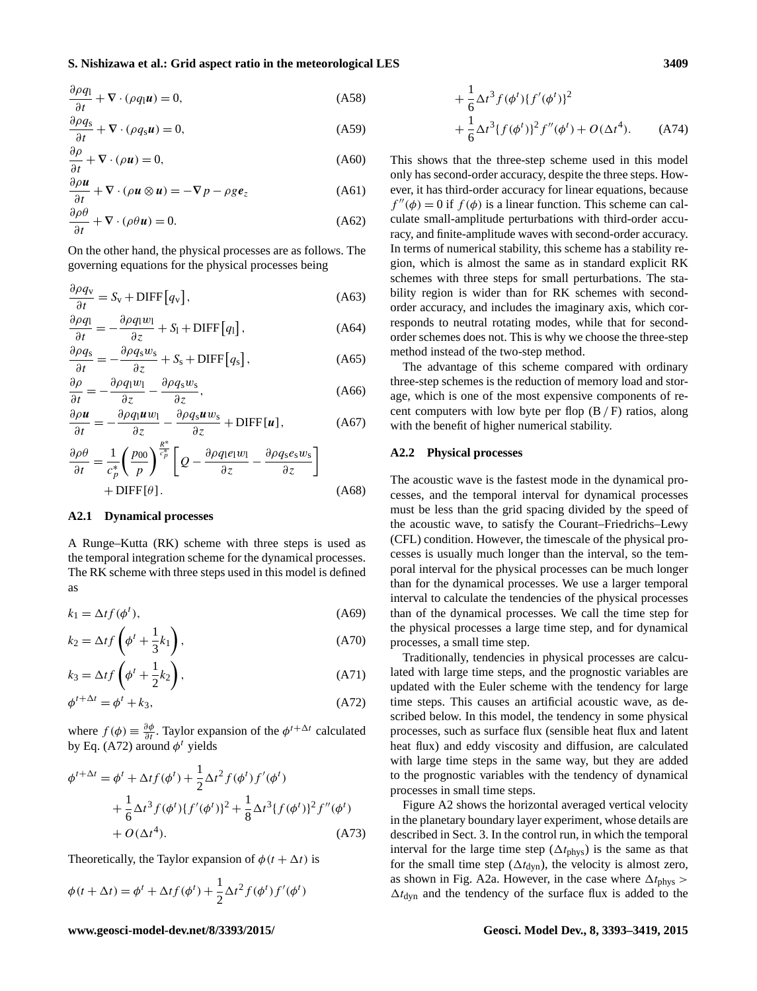$$
\frac{\partial \rho q_1}{\partial t} + \nabla \cdot (\rho q_1 \mathbf{u}) = 0, \tag{A58}
$$

$$
\frac{\partial \rho q_s}{\partial t} + \nabla \cdot (\rho q_s \mathbf{u}) = 0,\tag{A59}
$$

$$
\frac{\partial \rho}{\partial t} + \nabla \cdot (\rho \mathbf{u}) = 0,\tag{A60}
$$

$$
\frac{\partial \rho \boldsymbol{u}}{\partial t} + \nabla \cdot (\rho \boldsymbol{u} \otimes \boldsymbol{u}) = -\nabla p - \rho g \boldsymbol{e}_z \tag{A61}
$$

$$
\frac{\partial \rho \theta}{\partial t} + \nabla \cdot (\rho \theta \mathbf{u}) = 0. \tag{A62}
$$

On the other hand, the physical processes are as follows. The governing equations for the physical processes being

$$
\frac{\partial \rho q_{\rm v}}{\partial t} = S_{\rm v} + \text{DIFF}\big[q_{\rm v}\big],\tag{A63}
$$

$$
\frac{\partial \rho q_1}{\partial t} = -\frac{\partial \rho q_1 w_1}{\partial z} + S_1 + \text{DIFF}[q_1],\tag{A64}
$$

$$
\frac{\partial \rho q_s}{\partial t} = -\frac{\partial \rho q_s w_s}{\partial z} + S_s + \text{DIFF}\left[q_s\right],\tag{A65}
$$

$$
\frac{\partial \rho}{\partial t} = -\frac{\partial \rho q_1 w_1}{\partial z} - \frac{\partial \rho q_s w_s}{\partial z},\tag{A66}
$$

$$
\frac{\partial \rho \mathbf{u}}{\partial t} = -\frac{\partial \rho q_1 \mathbf{u} w_1}{\partial z} - \frac{\partial \rho q_s \mathbf{u} w_s}{\partial z} + \text{DIFF}[\mathbf{u}], \tag{A67}
$$

$$
\frac{\partial \rho \theta}{\partial t} = \frac{1}{c_p^*} \left( \frac{p_{00}}{p} \right)^{\frac{R^*}{c_p^*}} \left[ Q - \frac{\partial \rho q_1 e_1 w_1}{\partial z} - \frac{\partial \rho q_s e_s w_s}{\partial z} \right] + \text{DIFF}[\theta]. \tag{A68}
$$

#### **A2.1 Dynamical processes**

A Runge–Kutta (RK) scheme with three steps is used as the temporal integration scheme for the dynamical processes. The RK scheme with three steps used in this model is defined as

$$
k_1 = \Delta t f(\phi^t),\tag{A69}
$$

$$
k_2 = \Delta t f\left(\phi^t + \frac{1}{3}k_1\right),\tag{A70}
$$

$$
k_3 = \Delta t f\left(\phi^t + \frac{1}{2}k_2\right),\tag{A71}
$$

$$
\phi^{t+\Delta t} = \phi^t + k_3,\tag{A72}
$$

where  $f(\phi) \equiv \frac{\partial \phi}{\partial t}$ . Taylor expansion of the  $\phi^{t+\Delta t}$  calculated by Eq. [\(A72\)](#page-16-1) around  $\phi^t$  yields

$$
\phi^{t+\Delta t} = \phi^t + \Delta t f(\phi^t) + \frac{1}{2} \Delta t^2 f(\phi^t) f'(\phi^t) \n+ \frac{1}{6} \Delta t^3 f(\phi^t) \{f'(\phi^t)\}^2 + \frac{1}{8} \Delta t^3 \{f(\phi^t)\}^2 f''(\phi^t) \n+ O(\Delta t^4).
$$
\n(A73)

Theoretically, the Taylor expansion of  $\phi(t + \Delta t)$  is

$$
\phi(t + \Delta t) = \phi^t + \Delta t f(\phi^t) + \frac{1}{2} \Delta t^2 f(\phi^t) f'(\phi^t)
$$

$$
+\frac{1}{6}\Delta t^3 f(\phi^t) \{f'(\phi^t)\}^2 + \frac{1}{6}\Delta t^3 \{f(\phi^t)\}^2 f''(\phi^t) + O(\Delta t^4). \tag{A74}
$$

This shows that the three-step scheme used in this model only has second-order accuracy, despite the three steps. However, it has third-order accuracy for linear equations, because  $f''(\phi) = 0$  if  $f(\phi)$  is a linear function. This scheme can calculate small-amplitude perturbations with third-order accuracy, and finite-amplitude waves with second-order accuracy. In terms of numerical stability, this scheme has a stability region, which is almost the same as in standard explicit RK schemes with three steps for small perturbations. The stability region is wider than for RK schemes with secondorder accuracy, and includes the imaginary axis, which corresponds to neutral rotating modes, while that for secondorder schemes does not. This is why we choose the three-step method instead of the two-step method.

The advantage of this scheme compared with ordinary three-step schemes is the reduction of memory load and storage, which is one of the most expensive components of recent computers with low byte per flop  $(B/F)$  ratios, along with the benefit of higher numerical stability.

#### <span id="page-16-0"></span>**A2.2 Physical processes**

The acoustic wave is the fastest mode in the dynamical processes, and the temporal interval for dynamical processes must be less than the grid spacing divided by the speed of the acoustic wave, to satisfy the Courant–Friedrichs–Lewy (CFL) condition. However, the timescale of the physical processes is usually much longer than the interval, so the temporal interval for the physical processes can be much longer than for the dynamical processes. We use a larger temporal interval to calculate the tendencies of the physical processes than of the dynamical processes. We call the time step for the physical processes a large time step, and for dynamical processes, a small time step.

<span id="page-16-1"></span>Traditionally, tendencies in physical processes are calculated with large time steps, and the prognostic variables are updated with the Euler scheme with the tendency for large time steps. This causes an artificial acoustic wave, as described below. In this model, the tendency in some physical processes, such as surface flux (sensible heat flux and latent heat flux) and eddy viscosity and diffusion, are calculated with large time steps in the same way, but they are added to the prognostic variables with the tendency of dynamical processes in small time steps.

Figure [A2](#page-17-1) shows the horizontal averaged vertical velocity in the planetary boundary layer experiment, whose details are described in Sect. [3.](#page-5-0) In the control run, in which the temporal interval for the large time step ( $\Delta t_{\text{phys}}$ ) is the same as that for the small time step ( $\Delta t_{\text{dyn}}$ ), the velocity is almost zero, as shown in Fig. [A2a](#page-17-1). However, in the case where  $\Delta t_{\rm phys}$  >  $\Delta t_{\rm dyn}$  and the tendency of the surface flux is added to the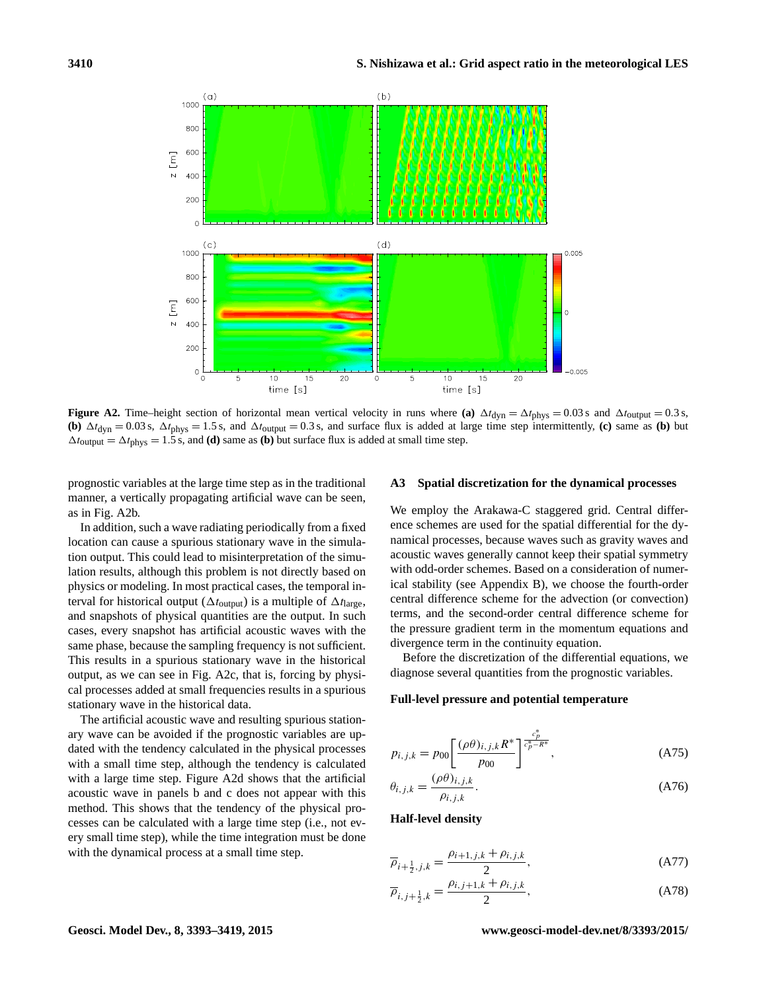<span id="page-17-1"></span>

**Figure A2.** Time–height section of horizontal mean vertical velocity in runs where (a)  $\Delta t_{\text{dyn}} = \Delta t_{\text{phys}} = 0.03 \text{ s}$  and  $\Delta t_{\text{output}} = 0.3 \text{ s}$ , **(b)**  $\Delta t_{dyn} = 0.03$  s,  $\Delta t_{phys} = 1.5$  s, and  $\Delta t_{output} = 0.3$  s, and surface flux is added at large time step intermittently, **(c)** same as **(b)** but  $\Delta t_{\text{output}} = \Delta t_{\text{phys}} = 1.5$  s, and **(d)** same as **(b)** but surface flux is added at small time step.

prognostic variables at the large time step as in the traditional manner, a vertically propagating artificial wave can be seen, as in Fig. [A2b](#page-17-1).

In addition, such a wave radiating periodically from a fixed location can cause a spurious stationary wave in the simulation output. This could lead to misinterpretation of the simulation results, although this problem is not directly based on physics or modeling. In most practical cases, the temporal interval for historical output ( $\Delta t_{\text{output}}$ ) is a multiple of  $\Delta t_{\text{large}}$ , and snapshots of physical quantities are the output. In such cases, every snapshot has artificial acoustic waves with the same phase, because the sampling frequency is not sufficient. This results in a spurious stationary wave in the historical output, as we can see in Fig. [A2c](#page-17-1), that is, forcing by physical processes added at small frequencies results in a spurious stationary wave in the historical data.

The artificial acoustic wave and resulting spurious stationary wave can be avoided if the prognostic variables are updated with the tendency calculated in the physical processes with a small time step, although the tendency is calculated with a large time step. Figure [A2d](#page-17-1) shows that the artificial acoustic wave in panels b and c does not appear with this method. This shows that the tendency of the physical processes can be calculated with a large time step (i.e., not every small time step), while the time integration must be done with the dynamical process at a small time step.

#### <span id="page-17-0"></span>**A3 Spatial discretization for the dynamical processes**

We employ the Arakawa-C staggered grid. Central difference schemes are used for the spatial differential for the dynamical processes, because waves such as gravity waves and acoustic waves generally cannot keep their spatial symmetry with odd-order schemes. Based on a consideration of numerical stability (see Appendix [B\)](#page-23-0), we choose the fourth-order central difference scheme for the advection (or convection) terms, and the second-order central difference scheme for the pressure gradient term in the momentum equations and divergence term in the continuity equation.

Before the discretization of the differential equations, we diagnose several quantities from the prognostic variables.

#### **Full-level pressure and potential temperature**

$$
p_{i,j,k} = p_{00} \left[ \frac{(\rho \theta)_{i,j,k} R^*}{p_{00}} \right]_{\epsilon_p^* - R^*}^{\frac{c_p^*}{\epsilon_p^* - R^*}},
$$
 (A75)

$$
\theta_{i,j,k} = \frac{(\rho \theta)_{i,j,k}}{\rho_{i,j,k}}.
$$
\n(A76)

**Half-level density**

$$
\overline{\rho}_{i+\frac{1}{2},j,k} = \frac{\rho_{i+1,j,k} + \rho_{i,j,k}}{2},
$$
\n(A77)

$$
\overline{\rho}_{i,j+\frac{1}{2},k} = \frac{\rho_{i,j+1,k} + \rho_{i,j,k}}{2},
$$
\n(A78)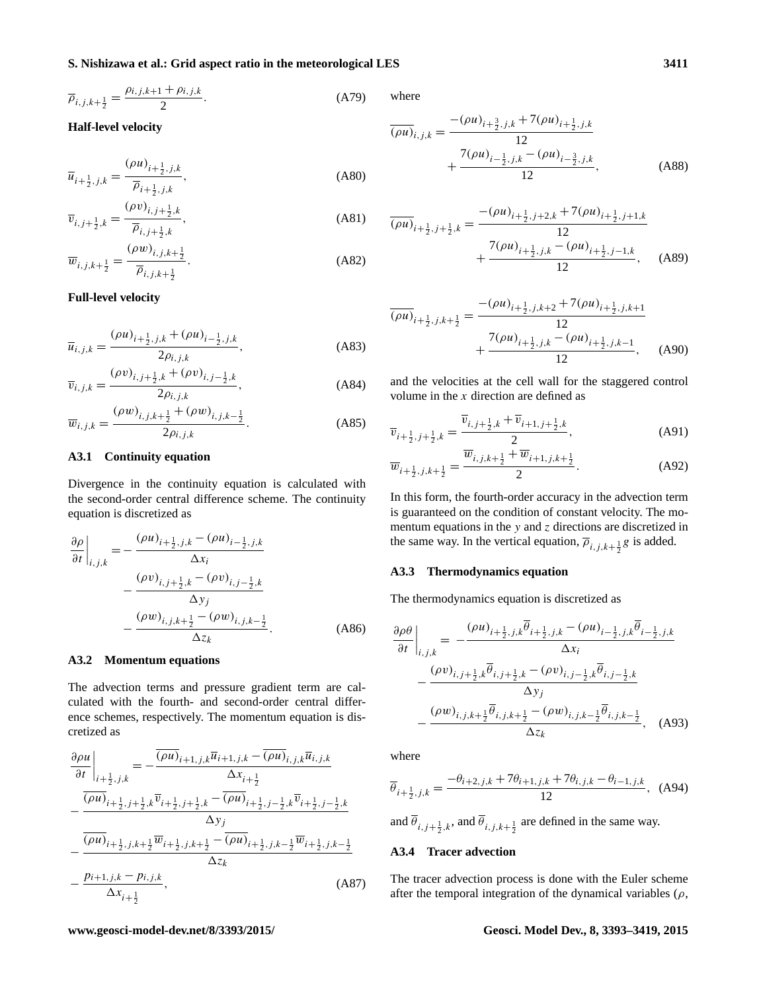$$
\overline{\rho}_{i,j,k+\frac{1}{2}} = \frac{\rho_{i,j,k+1} + \rho_{i,j,k}}{2}.
$$
 (A79)

### **Half-level velocity**

$$
\overline{u}_{i+\frac{1}{2},j,k} = \frac{(\rho u)_{i+\frac{1}{2},j,k}}{\overline{\rho}_{i+\frac{1}{2},j,k}},
$$
\n(A80)

$$
\overline{v}_{i,j+\frac{1}{2},k} = \frac{(\rho v)_{i,j+\frac{1}{2},k}}{\overline{\rho}_{i,j+\frac{1}{2},k}},
$$
\n(A81)

$$
\overline{w}_{i,j,k+\frac{1}{2}} = \frac{(\rho w)_{i,j,k+\frac{1}{2}}}{\overline{\rho}_{i,j,k+\frac{1}{2}}}.
$$
\n(A82)

#### **Full-level velocity**

$$
\overline{u}_{i,j,k} = \frac{(\rho u)_{i + \frac{1}{2},j,k} + (\rho u)_{i - \frac{1}{2},j,k}}{2\rho_{i,j,k}},
$$
\n(A83)

$$
\overline{v}_{i,j,k} = \frac{(\rho v)_{i,j+\frac{1}{2},k} + (\rho v)_{i,j-\frac{1}{2},k}}{2\rho_{i,j,k}},
$$
\n(A84)

$$
\overline{w}_{i,j,k} = \frac{(\rho w)_{i,j,k+\frac{1}{2}} + (\rho w)_{i,j,k-\frac{1}{2}}}{2\rho_{i,j,k}}.
$$
\n(A85)

#### **A3.1 Continuity equation**

Divergence in the continuity equation is calculated with the second-order central difference scheme. The continuity equation is discretized as

$$
\frac{\partial \rho}{\partial t}\Big|_{i,j,k} = -\frac{(\rho u)_{i+\frac{1}{2},j,k} - (\rho u)_{i-\frac{1}{2},j,k}}{\Delta x_i} - \frac{(\rho v)_{i,j+\frac{1}{2},k} - (\rho v)_{i,j-\frac{1}{2},k}}{\Delta y_j} - \frac{(\rho w)_{i,j,k+\frac{1}{2}} - (\rho w)_{i,j,k-\frac{1}{2}}}{\Delta z_k}.
$$
\n(A86)

#### **A3.2 Momentum equations**

The advection terms and pressure gradient term are calculated with the fourth- and second-order central difference schemes, respectively. The momentum equation is discretized as

$$
\frac{\partial \rho u}{\partial t}\Big|_{i+\frac{1}{2},j,k} = -\frac{\overline{(\rho u)}_{i+1,j,k}\overline{u}_{i+1,j,k} - \overline{(\rho u)}_{i,j,k}\overline{u}_{i,j,k}}{\Delta x_{i+\frac{1}{2}}}
$$
\n
$$
-\frac{\overline{(\rho u)}_{i+\frac{1}{2},j+\frac{1}{2},k}\overline{v}_{i+\frac{1}{2},j+\frac{1}{2},k} - \overline{(\rho u)}_{i+\frac{1}{2},j-\frac{1}{2},k}\overline{v}_{i+\frac{1}{2},j-\frac{1}{2},k}}{\Delta y_{j}}
$$
\n
$$
-\frac{\overline{(\rho u)}_{i+\frac{1}{2},j,k+\frac{1}{2}}\overline{w}_{i+\frac{1}{2},j,k+\frac{1}{2}} - \overline{(\rho u)}_{i+\frac{1}{2},j,k-\frac{1}{2}}\overline{w}_{i+\frac{1}{2},j,k-\frac{1}{2}}}{\Delta z_{k}}
$$
\n
$$
-\frac{p_{i+1,j,k} - p_{i,j,k}}{\Delta x_{i+\frac{1}{2}}},\tag{A87}
$$

where

$$
\overline{(\rho u)}_{i,j,k} = \frac{-(\rho u)_{i+\frac{3}{2},j,k} + 7(\rho u)_{i+\frac{1}{2},j,k}}{12} + \frac{7(\rho u)_{i-\frac{1}{2},j,k} - (\rho u)_{i-\frac{3}{2},j,k}}{12},
$$
\n(A88)

$$
\overline{(\rho u)}_{i+\frac{1}{2},j+\frac{1}{2},k} = \frac{-(\rho u)_{i+\frac{1}{2},j+2,k} + 7(\rho u)_{i+\frac{1}{2},j+1,k}}{12} + \frac{7(\rho u)_{i+\frac{1}{2},j,k} - (\rho u)_{i+\frac{1}{2},j-1,k}}{12}, \quad (A89)
$$

$$
\overline{(\rho u)}_{i+\frac{1}{2},j,k+\frac{1}{2}} = \frac{-(\rho u)_{i+\frac{1}{2},j,k+2} + 7(\rho u)_{i+\frac{1}{2},j,k+1}}{12} + \frac{7(\rho u)_{i+\frac{1}{2},j,k} - (\rho u)_{i+\frac{1}{2},j,k-1}}{12}, \quad (A90)
$$

and the velocities at the cell wall for the staggered control volume in the  $x$  direction are defined as

$$
\overline{v}_{i+\frac{1}{2},j+\frac{1}{2},k} = \frac{\overline{v}_{i,j+\frac{1}{2},k} + \overline{v}_{i+1,j+\frac{1}{2},k}}{2},
$$
\n(A91)

$$
\overline{w}_{i+\frac{1}{2},j,k+\frac{1}{2}} = \frac{\overline{w}_{i,j,k+\frac{1}{2}} + \overline{w}_{i+1,j,k+\frac{1}{2}}}{2}.
$$
 (A92)

In this form, the fourth-order accuracy in the advection term is guaranteed on the condition of constant velocity. The momentum equations in the  $y$  and  $z$  directions are discretized in the same way. In the vertical equation,  $\overline{\rho}_{i,j,k+\frac{1}{2}}g$  is added.

#### **A3.3 Thermodynamics equation**

The thermodynamics equation is discretized as

$$
\frac{\partial \rho \theta}{\partial t}\Big|_{i,j,k} = -\frac{(\rho u)_{i+\frac{1}{2},j,k}\overline{\theta}_{i+\frac{1}{2},j,k} - (\rho u)_{i-\frac{1}{2},j,k}\overline{\theta}_{i-\frac{1}{2},j,k}}{\Delta x_i} \n- \frac{(\rho v)_{i,j+\frac{1}{2},k}\overline{\theta}_{i,j+\frac{1}{2},k} - (\rho v)_{i,j-\frac{1}{2},k}\overline{\theta}_{i,j-\frac{1}{2},k}}{\Delta y_j} \n- \frac{(\rho w)_{i,j,k+\frac{1}{2}}\overline{\theta}_{i,j,k+\frac{1}{2}} - (\rho w)_{i,j,k-\frac{1}{2}}\overline{\theta}_{i,j,k-\frac{1}{2}}}{\Delta z_k}, \quad (A93)
$$

where

$$
\overline{\theta}_{i+\frac{1}{2},j,k} = \frac{-\theta_{i+2,j,k} + 7\theta_{i+1,j,k} + 7\theta_{i,j,k} - \theta_{i-1,j,k}}{12}, \quad (A94)
$$

and  $\theta_{i,j+\frac{1}{2},k}$ , and  $\theta_{i,j,k+\frac{1}{2}}$  are defined in the same way.

#### <span id="page-18-0"></span>**A3.4 Tracer advection**

The tracer advection process is done with the Euler scheme after the temporal integration of the dynamical variables  $(\rho, \theta)$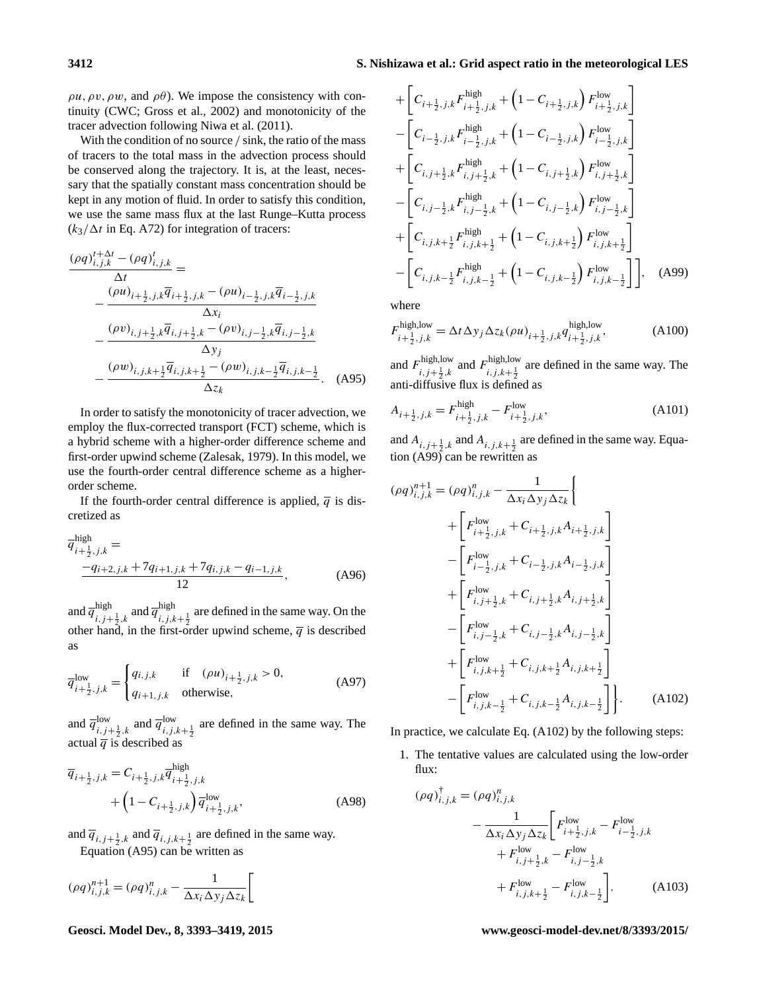$\rho u$ ,  $\rho v$ ,  $\rho w$ , and  $\rho \theta$ ). We impose the consistency with continuity (CWC; [Gross et al.,](#page-25-21) [2002\)](#page-25-21) and monotonicity of the tracer advection following [Niwa et al.](#page-25-22) [\(2011\)](#page-25-22).

With the condition of no source / sink, the ratio of the mass of tracers to the total mass in the advection process should be conserved along the trajectory. It is, at the least, necessary that the spatially constant mass concentration should be kept in any motion of fluid. In order to satisfy this condition, we use the same mass flux at the last Runge–Kutta process  $(k_3/\Delta t$  in Eq. [A72\)](#page-16-1) for integration of tracers:

$$
\frac{(\rho q)_{i,j,k}^{t+\Delta t} - (\rho q)_{i,j,k}^t}{\Delta t} =
$$
\n
$$
-\frac{(\rho u)_{i+\frac{1}{2},j,k}\overline{q}_{i+\frac{1}{2},j,k} - (\rho u)_{i-\frac{1}{2},j,k}\overline{q}_{i-\frac{1}{2},j,k}}{\Delta x_i}
$$
\n
$$
-\frac{(\rho v)_{i,j+\frac{1}{2},k}\overline{q}_{i,j+\frac{1}{2},k} - (\rho v)_{i,j-\frac{1}{2},k}\overline{q}_{i,j-\frac{1}{2},k}}{\Delta y_j}
$$
\n
$$
-\frac{(\rho w)_{i,j,k+\frac{1}{2}}\overline{q}_{i,j,k+\frac{1}{2}} - (\rho w)_{i,j,k-\frac{1}{2}}\overline{q}_{i,j,k-\frac{1}{2}}}{\Delta z_k}.
$$
\n(A95)

In order to satisfy the monotonicity of tracer advection, we employ the flux-corrected transport (FCT) scheme, which is a hybrid scheme with a higher-order difference scheme and first-order upwind scheme [\(Zalesak,](#page-26-12) [1979\)](#page-26-12). In this model, we use the fourth-order central difference scheme as a higherorder scheme.

If the fourth-order central difference is applied,  $\overline{q}$  is discretized as

$$
\overline{q}_{i+\frac{1}{2},j,k}^{\text{high}} = \frac{-q_{i+2,j,k} + 7q_{i+1,j,k} + 7q_{i,j,k} - q_{i-1,j,k}}{12}, \tag{A96}
$$

and  $\overline{q}^{\text{high}}$ high  $i, j+\frac{1}{2}, k$  and  $\overline{q}^{\text{high}}_{i, j, k}$  $i,j,k+\frac{1}{2}$  are defined in the same way. On the other hand, in the first-order upwind scheme,  $\overline{q}$  is described as

$$
\overline{q}_{i+\frac{1}{2},j,k}^{\text{low}} = \begin{cases} q_{i,j,k} & \text{if } (\rho u)_{i+\frac{1}{2},j,k} > 0, \\ q_{i+1,j,k} & \text{otherwise,} \end{cases} \tag{A97}
$$

and  $\overline{q}^{\text{low}}$  $\lim_{i,j+\frac{1}{2},k}$  and  $\overline{q}^{\text{low}}_{i,j}$ <sup>10w</sup><sub>i,j,k+ $\frac{1}{2}$ </sub> are defined in the same way. The actual  $\overline{q}$  is described as

$$
\overline{q}_{i+\frac{1}{2},j,k} = C_{i+\frac{1}{2},j,k} \overline{q}_{i+\frac{1}{2},j,k}^{\text{high}}
$$
  
 
$$
+ \left(1 - C_{i+\frac{1}{2},j,k}\right) \overline{q}_{i+\frac{1}{2},j,k}^{\text{low}}, \tag{A98}
$$

and  $\overline{q}_{i,j+\frac{1}{2},k}$  and  $\overline{q}_{i,j,k+\frac{1}{2}}$  are defined in the same way. Equation [\(A95\)](#page-19-0) can be written as

$$
(\rho q)^{n+1}_{i,j,k} = (\rho q)^n_{i,j,k} - \frac{1}{\Delta x_i \Delta y_j \Delta z_k}
$$

**Geosci. Model Dev., 8, 3393[–3419,](#page-0-0) 2015 www.geosci-model-dev.net/8/3393/2015/**

+ 
$$
\left[C_{i+\frac{1}{2},j,k}F_{i+\frac{1}{2},j,k}^{\text{high}} + \left(1 - C_{i+\frac{1}{2},j,k}\right)F_{i+\frac{1}{2},j,k}^{\text{low}}\right]
$$
  
\n-  $\left[C_{i-\frac{1}{2},j,k}F_{i-\frac{1}{2},j,k}^{\text{high}} + \left(1 - C_{i-\frac{1}{2},j,k}\right)F_{i-\frac{1}{2},j,k}^{\text{low}}\right]$   
\n+  $\left[C_{i,j+\frac{1}{2},k}F_{i,j+\frac{1}{2},k}^{\text{high}} + \left(1 - C_{i,j+\frac{1}{2},k}\right)F_{i,j+\frac{1}{2},k}^{\text{low}}\right]$   
\n-  $\left[C_{i,j-\frac{1}{2},k}F_{i,j-\frac{1}{2},k}^{\text{high}} + \left(1 - C_{i,j-\frac{1}{2},k}\right)F_{i,j-\frac{1}{2},k}^{\text{low}}\right]$   
\n+  $\left[C_{i,j,k+\frac{1}{2}}F_{i,j,k+\frac{1}{2}}^{\text{high}} + \left(1 - C_{i,j,k+\frac{1}{2}}\right)F_{i,j,k+\frac{1}{2}}^{\text{low}}\right]$   
\n-  $\left[C_{i,j,k-\frac{1}{2}}F_{i,j,k-\frac{1}{2}}^{\text{high}} + \left(1 - C_{i,j,k-\frac{1}{2}}\right)F_{i,j,k-\frac{1}{2}}^{\text{low}}\right]$ , (A99)

<span id="page-19-1"></span>where

$$
F_{i+\frac{1}{2},j,k}^{\text{high,low}} = \Delta t \Delta y_j \Delta z_k (\rho u)_{i+\frac{1}{2},j,k} q_{i+\frac{1}{2},j,k}^{\text{high,low}},\tag{A100}
$$

<span id="page-19-0"></span>and  $F_{i,i+1,k}^{\text{high,low}}$ high,low and  $F_{i,j,k+\frac{1}{2}}^{\text{high,low}}$  $i, j, k+\frac{1}{2}$  are defined in the same way. The anti-diffusive flux is defined as

$$
A_{i+\frac{1}{2},j,k} = F_{i+\frac{1}{2},j,k}^{\text{high}} - F_{i+\frac{1}{2},j,k}^{\text{low}},\tag{A101}
$$

and  $A_{i,j+\frac{1}{2},k}$  and  $A_{i,j,k+\frac{1}{2}}$  are defined in the same way. Equa-tion [\(A99\)](#page-19-1) can be rewritten as

$$
(\rho q)^{n+1}_{i,j,k} = (\rho q)^{n}_{i,j,k} - \frac{1}{\Delta x_i \Delta y_j \Delta z_k} \Biggl\{ + \Biggl[ F^{\text{low}}_{i+\frac{1}{2},j,k} + C_{i+\frac{1}{2},j,k} A_{i+\frac{1}{2},j,k} \Biggr] - \Biggl[ F^{\text{low}}_{i-\frac{1}{2},j,k} + C_{i-\frac{1}{2},j,k} A_{i-\frac{1}{2},j,k} \Biggr] + \Biggl[ F^{\text{low}}_{i,j+\frac{1}{2},k} + C_{i,j+\frac{1}{2},k} A_{i,j+\frac{1}{2},k} \Biggr] - \Biggl[ F^{\text{low}}_{i,j-\frac{1}{2},k} + C_{i,j-\frac{1}{2},k} A_{i,j-\frac{1}{2},k} \Biggr] + \Biggl[ F^{\text{low}}_{i,j,k+\frac{1}{2}} + C_{i,j,k+\frac{1}{2}} A_{i,j,k+\frac{1}{2}} \Biggr] - \Biggl[ F^{\text{low}}_{i,j,k-\frac{1}{2}} + C_{i,j,k-\frac{1}{2}} A_{i,j,k-\frac{1}{2}} \Biggr] \Biggr]. \tag{A102}
$$

In practice, we calculate Eq. [\(A102\)](#page-19-2) by the following steps:

1. The tentative values are calculated using the low-order flux:

<span id="page-19-2"></span>
$$
(\rho q)^{\dagger}_{i,j,k} = (\rho q)^n_{i,j,k}
$$
  

$$
-\frac{1}{\Delta x_i \Delta y_j \Delta z_k} \left[ F^{\text{low}}_{i+\frac{1}{2},j,k} - F^{\text{low}}_{i-\frac{1}{2},j,k} + F^{\text{low}}_{i,j+\frac{1}{2},k} - F^{\text{low}}_{i,j-\frac{1}{2},k} + F^{\text{low}}_{i,j,k+\frac{1}{2}} - F^{\text{low}}_{i,j,k-\frac{1}{2}} \right].
$$
 (A103)

 $t_{\rm{th}}$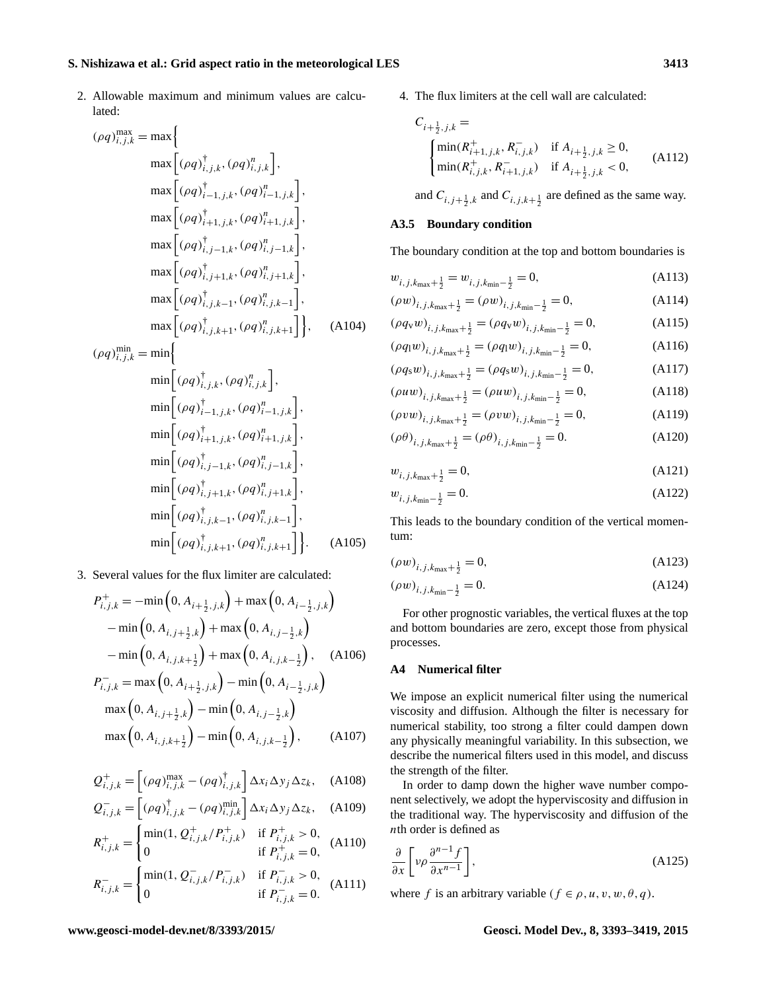2. Allowable maximum and minimum values are calculated:

$$
(\rho q)_{i,j,k}^{\max} = \max \left\{ \max \left[ (\rho q)_{i,j,k}^{\dagger}, (\rho q)_{i,j,k}^{n} \right], \max \left[ (\rho q)_{i-1,j,k}^{\dagger}, (\rho q)_{i-1,j,k}^{n} \right], \max \left[ (\rho q)_{i+1,j,k}^{\dagger}, (\rho q)_{i+1,j,k}^{n} \right], \max \left[ (\rho q)_{i,j-1,k}^{\dagger}, (\rho q)_{i,j-1,k}^{n} \right], \max \left[ (\rho q)_{i,j+1,k}^{\dagger}, (\rho q)_{i,j+1,k}^{n} \right], \max \left[ (\rho q)_{i,j,k-1}^{\dagger}, (\rho q)_{i,j,k-1}^{n} \right], \max \left[ (\rho q)_{i,j,k+1}^{\dagger}, (\rho q)_{i,j,k+1}^{n} \right], \max \left[ (\rho q)_{i,j,k}^{\dagger}, (\rho q)_{i,j,k+1}^{n} \right] \right\}, \text{ (A104)}
$$
  
\n
$$
(\rho q)_{i,j,k}^{\min} = \min \left\{ \min \left[ (\rho q)_{i-1,j,k}^{\dagger}, (\rho q)_{i,j,k}^{n} \right], \min \left[ (\rho q)_{i+1,j,k}^{\dagger}, (\rho q)_{i+1,j,k}^{n} \right], \min \left[ (\rho q)_{i,j-1,k}^{\dagger}, (\rho q)_{i,j-1,k}^{n} \right], \min \left[ (\rho q)_{i,j+1,k}^{\dagger}, (\rho q)_{i,j+1,k}^{n} \right], \min \left[ (\rho q)_{i,j,k-1}^{\dagger}, (\rho q)_{i,j,k-1}^{n} \right], \min \left[ (\rho q)_{i,j,k+1}^{\dagger}, (\rho q)_{i,j,k+1}^{n} \right] \right\}. \text{ (A105)}
$$

3. Several values for the flux limiter are calculated:

$$
P_{i,j,k}^{+} = -\min\left(0, A_{i+\frac{1}{2},j,k}\right) + \max\left(0, A_{i-\frac{1}{2},j,k}\right)
$$
  
-  $\min\left(0, A_{i,j+\frac{1}{2},k}\right) + \max\left(0, A_{i,j-\frac{1}{2},k}\right)$   
-  $\min\left(0, A_{i,j,k+\frac{1}{2}}\right) + \max\left(0, A_{i,j,k-\frac{1}{2}}\right), \quad \text{(A106)}$   

$$
P_{i,j,k}^{-} = \max\left(0, A_{i+\frac{1}{2},j,k}\right) - \min\left(0, A_{i-\frac{1}{2},j,k}\right)
$$
  
 $\max\left(0, A_{i,j+\frac{1}{2},k}\right) - \min\left(0, A_{i,j-\frac{1}{2},k}\right)$ 

$$
\max\left(0, A_{i,j,k+\frac{1}{2}}\right) - \min\left(0, A_{i,j,k-\frac{1}{2}}\right),\tag{A107}
$$

$$
Q_{i,j,k}^{+} = \left[ (\rho q)_{i,j,k}^{\text{max}} - (\rho q)_{i,j,k}^{\dagger} \right] \Delta x_i \Delta y_j \Delta z_k, \quad \text{(A108)}
$$

$$
Q_{i,j,k}^- = \begin{bmatrix} (\rho q)_{i,j,k}^{\dagger} - (\rho q)_{i,j,k}^{\min} \end{bmatrix} \Delta x_i \Delta y_j \Delta z_k, \quad \text{(A109)}
$$

$$
R_{i,j,k}^{+} = \begin{cases} \min(1, Q_{i,j,k}^{+} / P_{i,j,k}^{+}) & \text{if } P_{i,j,k}^{+} > 0, \\ 0 & \text{if } P_{i,j,k}^{+} = 0, \end{cases}
$$
 (A110)

$$
R_{i,j,k}^{-} = \begin{cases} \min(1, Q_{i,j,k}^{-} / P_{i,j,k}^{-}) & \text{if } P_{i,j,k}^{-} > 0, \\ 0 & \text{if } P_{i,j,k}^{-} = 0. \end{cases}
$$
 (A111)

4. The flux limiters at the cell wall are calculated:

$$
C_{i+\frac{1}{2},j,k} = \n\begin{cases} \n\min(R_{i+1,j,k}^+, R_{i,j,k}^-) & \text{if } A_{i+\frac{1}{2},j,k} \ge 0, \\
\min(R_{i,j,k}^+, R_{i+1,j,k}^-) & \text{if } A_{i+\frac{1}{2},j,k} < 0,\n\end{cases} \tag{A112}
$$

and  $C_{i,j+\frac{1}{2},k}$  and  $C_{i,j,k+\frac{1}{2}}$  are defined as the same way.

#### **A3.5 Boundary condition**

The boundary condition at the top and bottom boundaries is

$$
w_{i,j,k_{\text{max}}+\frac{1}{2}} = w_{i,j,k_{\text{min}}-\frac{1}{2}} = 0, \tag{A113}
$$

$$
(\rho w)_{i,j,k_{\text{max}}+\frac{1}{2}} = (\rho w)_{i,j,k_{\text{min}}-\frac{1}{2}} = 0,
$$
\n(A114)

$$
(\rho q_{v} w)_{i,j,k_{\max}+\frac{1}{2}} = (\rho q_{v} w)_{i,j,k_{\min}-\frac{1}{2}} = 0,
$$
 (A115)

$$
(\rho q_1 w)_{i,j,k_{\text{max}} + \frac{1}{2}} = (\rho q_1 w)_{i,j,k_{\text{min}} - \frac{1}{2}} = 0,
$$
 (A116)

$$
(\rho q_{s} w)_{i,j,k_{\max}+\frac{1}{2}} = (\rho q_{s} w)_{i,j,k_{\min}-\frac{1}{2}} = 0,
$$
 (A117)  
(0111)

$$
(\rho u w)_{i,j,k_{\text{max}}+\frac{1}{2}} = (\rho u w)_{i,j,k_{\text{min}}-\frac{1}{2}} = 0,
$$
 (A118)  
(a)

$$
(\rho vw)_{i,j,k_{\text{max}}+\frac{1}{2}} = (\rho vw)_{i,j,k_{\text{min}}-\frac{1}{2}} = 0,
$$
 (A119)

$$
(\rho \theta)_{i,j,k_{\text{max}}+\frac{1}{2}} = (\rho \theta)_{i,j,k_{\text{min}}-\frac{1}{2}} = 0. \tag{A120}
$$

$$
w_{i,j,k_{\text{max}}+\frac{1}{2}} = 0,\tag{A121}
$$

$$
w_{i,j,k_{\min}-\frac{1}{2}} = 0.\t\t(A122)
$$

This leads to the boundary condition of the vertical momentum:

$$
(\rho w)_{i,j,k_{\text{max}}+\frac{1}{2}} = 0, \tag{A123}
$$

$$
(\rho w)_{i,j,k_{\min}-\frac{1}{2}} = 0. \tag{A124}
$$

For other prognostic variables, the vertical fluxes at the top and bottom boundaries are zero, except those from physical processes.

#### <span id="page-20-0"></span>**A4 Numerical filter**

We impose an explicit numerical filter using the numerical viscosity and diffusion. Although the filter is necessary for numerical stability, too strong a filter could dampen down any physically meaningful variability. In this subsection, we describe the numerical filters used in this model, and discuss the strength of the filter.

In order to damp down the higher wave number component selectively, we adopt the hyperviscosity and diffusion in the traditional way. The hyperviscosity and diffusion of the nth order is defined as

<span id="page-20-1"></span>
$$
\frac{\partial}{\partial x} \left[ \nu \rho \frac{\partial^{n-1} f}{\partial x^{n-1}} \right],\tag{A125}
$$

where f is an arbitrary variable ( $f \in \rho, u, v, w, \theta, q$ ).

#### **www.geosci-model-dev.net/8/3393/2015/ Geosci. Model Dev., 8, 3393[–3419,](#page-0-0) 2015**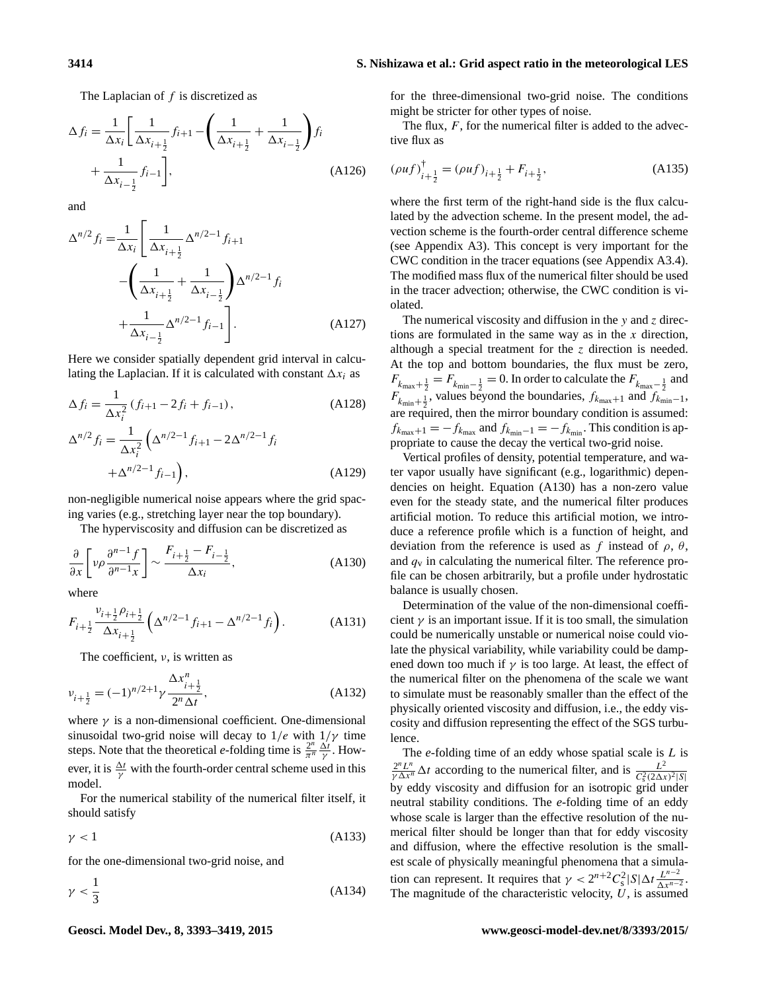The Laplacian of  $f$  is discretized as

$$
\Delta f_i = \frac{1}{\Delta x_i} \left[ \frac{1}{\Delta x_{i+\frac{1}{2}}} f_{i+1} - \left( \frac{1}{\Delta x_{i+\frac{1}{2}}} + \frac{1}{\Delta x_{i-\frac{1}{2}}} \right) f_i + \frac{1}{\Delta x_{i-\frac{1}{2}}} f_{i-1} \right],
$$
\n(A126)

and

$$
\Delta^{n/2} f_i = \frac{1}{\Delta x_i} \left[ \frac{1}{\Delta x_{i+\frac{1}{2}}} \Delta^{n/2-1} f_{i+1} - \left( \frac{1}{\Delta x_{i+\frac{1}{2}}} + \frac{1}{\Delta x_{i-\frac{1}{2}}} \right) \Delta^{n/2-1} f_i + \frac{1}{\Delta x_{i-\frac{1}{2}}} \Delta^{n/2-1} f_{i-1} \right].
$$
\n(A127)

Here we consider spatially dependent grid interval in calculating the Laplacian. If it is calculated with constant  $\Delta x_i$  as

$$
\Delta f_i = \frac{1}{\Delta x_i^2} (f_{i+1} - 2f_i + f_{i-1}),
$$
\n
$$
\Delta^{n/2} f_i = \frac{1}{\Delta x_i^2} \left( \Delta^{n/2 - 1} f_{i+1} - 2\Delta^{n/2 - 1} f_i + \Delta^{n/2 - 1} f_{i-1} \right),
$$
\n(A129)

non-negligible numerical noise appears where the grid spacing varies (e.g., stretching layer near the top boundary).

The hyperviscosity and diffusion can be discretized as

$$
\frac{\partial}{\partial x} \left[ \nu \rho \frac{\partial^{n-1} f}{\partial^{n-1} x} \right] \sim \frac{F_{i+\frac{1}{2}} - F_{i-\frac{1}{2}}}{\Delta x_i},\tag{A130}
$$

where

$$
F_{i+\frac{1}{2}} \frac{v_{i+\frac{1}{2}} \rho_{i+\frac{1}{2}}}{\Delta x_{i+\frac{1}{2}}} \left( \Delta^{n/2-1} f_{i+1} - \Delta^{n/2-1} f_i \right). \tag{A131}
$$

The coefficient,  $\nu$ , is written as

$$
v_{i+\frac{1}{2}} = (-1)^{n/2+1} \gamma \frac{\Delta x_{i+\frac{1}{2}}^n}{2^n \Delta t},
$$
\n(A132)

where  $\gamma$  is a non-dimensional coefficient. One-dimensional sinusoidal two-grid noise will decay to  $1/e$  with  $1/\gamma$  time steps. Note that the theoretical *e*-folding time is  $\frac{2^n}{\pi^n}$  $rac{2^n}{\pi^n} \frac{\Delta t}{\gamma}$ . However, it is  $\frac{\Delta t}{\gamma}$  with the fourth-order central scheme used in this model.

For the numerical stability of the numerical filter itself, it should satisfy

$$
\gamma < 1\tag{A133}
$$

for the one-dimensional two-grid noise, and

$$
\gamma < \frac{1}{3} \tag{A134}
$$

for the three-dimensional two-grid noise. The conditions might be stricter for other types of noise.

The flux,  $F$ , for the numerical filter is added to the advective flux as

$$
(\rho u f)^{\dagger}_{i+\frac{1}{2}} = (\rho u f)_{i+\frac{1}{2}} + F_{i+\frac{1}{2}},
$$
\n(A135)

where the first term of the right-hand side is the flux calculated by the advection scheme. In the present model, the advection scheme is the fourth-order central difference scheme (see Appendix [A3\)](#page-17-0). This concept is very important for the CWC condition in the tracer equations (see Appendix [A3.4\)](#page-18-0). The modified mass flux of the numerical filter should be used in the tracer advection; otherwise, the CWC condition is violated.

The numerical viscosity and diffusion in the  $y$  and  $z$  directions are formulated in the same way as in the  $x$  direction, although a special treatment for the  $\zeta$  direction is needed. At the top and bottom boundaries, the flux must be zero,  $F_{k_{\text{max}}+\frac{1}{2}} = F_{k_{\text{min}}-\frac{1}{2}} = 0$ . In order to calculate the  $F_{k_{\text{max}}-\frac{1}{2}}$  and  $F_{k_{\text{min}}+\frac{1}{2}}$ , values beyond the boundaries,  $f_{k_{\text{max}}+1}$  and  $f_{k_{\text{min}}-1}$ , are required, then the mirror boundary condition is assumed:  $f_{k_{\text{max}}+1} = -f_{k_{\text{max}}}$  and  $f_{k_{\text{min}}-1} = -f_{k_{\text{min}}}$ . This condition is appropriate to cause the decay the vertical two-grid noise.

<span id="page-21-0"></span>Vertical profiles of density, potential temperature, and water vapor usually have significant (e.g., logarithmic) dependencies on height. Equation [\(A130\)](#page-21-0) has a non-zero value even for the steady state, and the numerical filter produces artificial motion. To reduce this artificial motion, we introduce a reference profile which is a function of height, and deviation from the reference is used as f instead of  $\rho$ ,  $\theta$ , and  $q_v$  in calculating the numerical filter. The reference profile can be chosen arbitrarily, but a profile under hydrostatic balance is usually chosen.

Determination of the value of the non-dimensional coefficient  $\gamma$  is an important issue. If it is too small, the simulation could be numerically unstable or numerical noise could violate the physical variability, while variability could be dampened down too much if  $\gamma$  is too large. At least, the effect of the numerical filter on the phenomena of the scale we want to simulate must be reasonably smaller than the effect of the physically oriented viscosity and diffusion, i.e., the eddy viscosity and diffusion representing the effect of the SGS turbulence.

<span id="page-21-1"></span>The *e*-folding time of an eddy whose spatial scale is L is  $\frac{2^n L^n}{\gamma \Delta x^n} \Delta t$  according to the numerical filter, and is  $\frac{L^2}{C_c^2(2\Delta x^n)}$  $C_8^2(2\Delta x)^2|S|$ by eddy viscosity and diffusion for an isotropic grid under neutral stability conditions. The *e*-folding time of an eddy whose scale is larger than the effective resolution of the numerical filter should be longer than that for eddy viscosity and diffusion, where the effective resolution is the smallest scale of physically meaningful phenomena that a simulation can represent. It requires that  $\gamma < 2^{n+2}C_s^2 |S|\Delta t \frac{L^{n-2}}{\Delta x^{n-2}}$  $\frac{L^{n-2}}{\Delta x^{n-2}}$ The magnitude of the characteristic velocity,  $\hat{U}$ , is assumed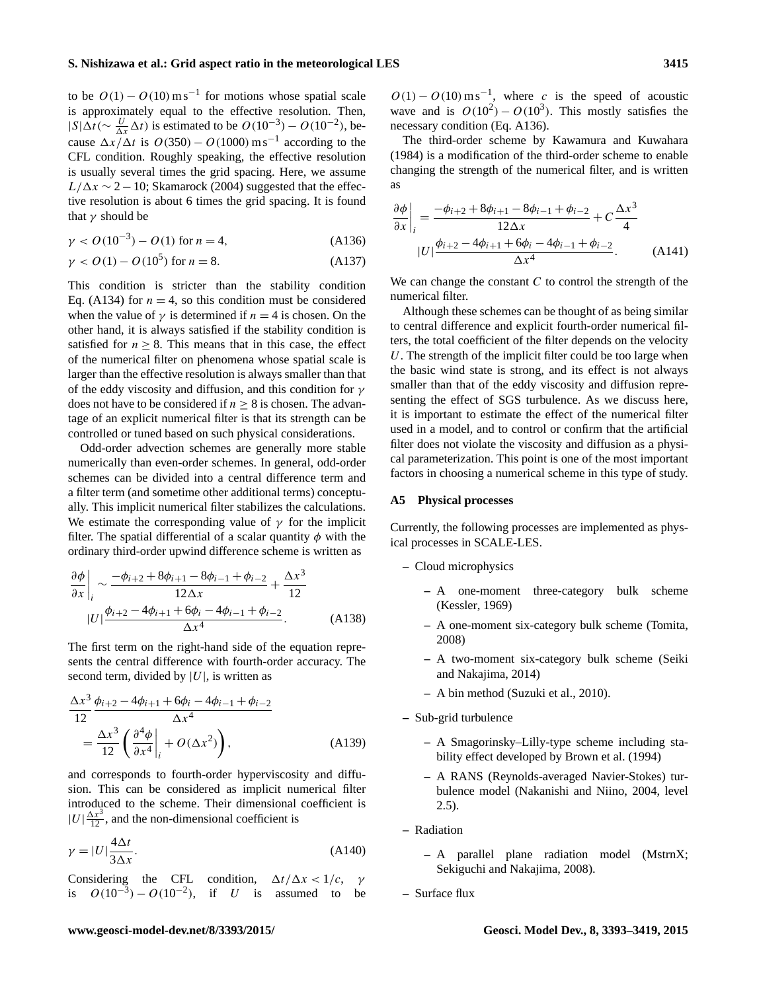to be  $O(1) - O(10) \text{ m s}^{-1}$  for motions whose spatial scale is approximately equal to the effective resolution. Then,  $|S|\Delta t (\sim \frac{U}{\Delta x} \Delta t)$  is estimated to be  $O(10^{-3}) - O(10^{-2})$ , because  $\Delta x/\Delta t$  is  $O(350) - O(1000) \text{ m s}^{-1}$  according to the CFL condition. Roughly speaking, the effective resolution is usually several times the grid spacing. Here, we assume  $L/\Delta x \sim 2-10$ ; [Skamarock](#page-26-13) [\(2004\)](#page-26-13) suggested that the effective resolution is about 6 times the grid spacing. It is found that  $\gamma$  should be

$$
\gamma < O(10^{-3}) - O(1) \text{ for } n = 4,\tag{A136}
$$

$$
\gamma < O(1) - O(10^5) \text{ for } n = 8. \tag{A137}
$$

This condition is stricter than the stability condition Eq. [\(A134\)](#page-21-1) for  $n = 4$ , so this condition must be considered when the value of  $\gamma$  is determined if  $n = 4$  is chosen. On the other hand, it is always satisfied if the stability condition is satisfied for  $n \geq 8$ . This means that in this case, the effect of the numerical filter on phenomena whose spatial scale is larger than the effective resolution is always smaller than that of the eddy viscosity and diffusion, and this condition for  $\gamma$ does not have to be considered if  $n \geq 8$  is chosen. The advantage of an explicit numerical filter is that its strength can be controlled or tuned based on such physical considerations.

Odd-order advection schemes are generally more stable numerically than even-order schemes. In general, odd-order schemes can be divided into a central difference term and a filter term (and sometime other additional terms) conceptually. This implicit numerical filter stabilizes the calculations. We estimate the corresponding value of  $\gamma$  for the implicit filter. The spatial differential of a scalar quantity  $\phi$  with the ordinary third-order upwind difference scheme is written as

$$
\frac{\partial \phi}{\partial x}\Big|_{i} \sim \frac{-\phi_{i+2} + 8\phi_{i+1} - 8\phi_{i-1} + \phi_{i-2}}{12\Delta x} + \frac{\Delta x^{3}}{12}
$$

$$
|U|\frac{\phi_{i+2} - 4\phi_{i+1} + 6\phi_{i} - 4\phi_{i-1} + \phi_{i-2}}{\Delta x^{4}}.
$$
(A138)

The first term on the right-hand side of the equation represents the central difference with fourth-order accuracy. The second term, divided by  $|U|$ , is written as

$$
\frac{\Delta x^3}{12} \frac{\phi_{i+2} - 4\phi_{i+1} + 6\phi_i - 4\phi_{i-1} + \phi_{i-2}}{\Delta x^4} \n= \frac{\Delta x^3}{12} \left( \frac{\partial^4 \phi}{\partial x^4} \Big|_i + O(\Delta x^2) \right),
$$
\n(A139)

and corresponds to fourth-order hyperviscosity and diffusion. This can be considered as implicit numerical filter introduced to the scheme. Their dimensional coefficient is  $|U|\frac{\Delta x^3}{12}$ , and the non-dimensional coefficient is

$$
\gamma = |U| \frac{4\Delta t}{3\Delta x}.
$$
\n(A140)

Considering the CFL condition,  $\Delta t / \Delta x < 1/c$ , γ is  $O(10^{-3}) - O(10^{-2})$ , if U is assumed to be

 $O(1) - O(10) \text{ m s}^{-1}$ , where c is the speed of acoustic wave and is  $O(10^2) - O(10^3)$ . This mostly satisfies the necessary condition (Eq. [A136\)](#page-22-1).

The third-order scheme by [Kawamura and Kuwahara](#page-25-23) [\(1984\)](#page-25-23) is a modification of the third-order scheme to enable changing the strength of the numerical filter, and is written as

<span id="page-22-1"></span>
$$
\frac{\partial \phi}{\partial x}\Big|_{i} = \frac{-\phi_{i+2} + 8\phi_{i+1} - 8\phi_{i-1} + \phi_{i-2}}{12\Delta x} + C\frac{\Delta x^{3}}{4}
$$

$$
|U|\frac{\phi_{i+2} - 4\phi_{i+1} + 6\phi_{i} - 4\phi_{i-1} + \phi_{i-2}}{\Delta x^{4}}.
$$
(A141)

We can change the constant  $C$  to control the strength of the numerical filter.

Although these schemes can be thought of as being similar to central difference and explicit fourth-order numerical filters, the total coefficient of the filter depends on the velocity U. The strength of the implicit filter could be too large when the basic wind state is strong, and its effect is not always smaller than that of the eddy viscosity and diffusion representing the effect of SGS turbulence. As we discuss here, it is important to estimate the effect of the numerical filter used in a model, and to control or confirm that the artificial filter does not violate the viscosity and diffusion as a physical parameterization. This point is one of the most important factors in choosing a numerical scheme in this type of study.

#### <span id="page-22-0"></span>**A5 Physical processes**

Currently, the following processes are implemented as physical processes in SCALE-LES.

- **–** Cloud microphysics
	- **–** A one-moment three-category bulk scheme [\(Kessler,](#page-25-24) [1969\)](#page-25-24)
	- **–** A one-moment six-category bulk scheme [\(Tomita,](#page-26-14) [2008\)](#page-26-14)
	- **–** A two-moment six-category bulk scheme [\(Seiki](#page-25-25) [and Nakajima,](#page-25-25) [2014\)](#page-25-25)
	- **–** A bin method [\(Suzuki et al.,](#page-26-15) [2010\)](#page-26-15).
- **–** Sub-grid turbulence
	- **–** A Smagorinsky–Lilly-type scheme including stability effect developed by [Brown et al.](#page-25-14) [\(1994\)](#page-25-14)
	- **–** A RANS (Reynolds-averaged Navier-Stokes) turbulence model [\(Nakanishi and Niino,](#page-25-8) [2004,](#page-25-8) level 2.5).
- **–** Radiation
	- **–** A parallel plane radiation model (MstrnX; [Sekiguchi and Nakajima,](#page-25-26) [2008\)](#page-25-26).
- **–** Surface flux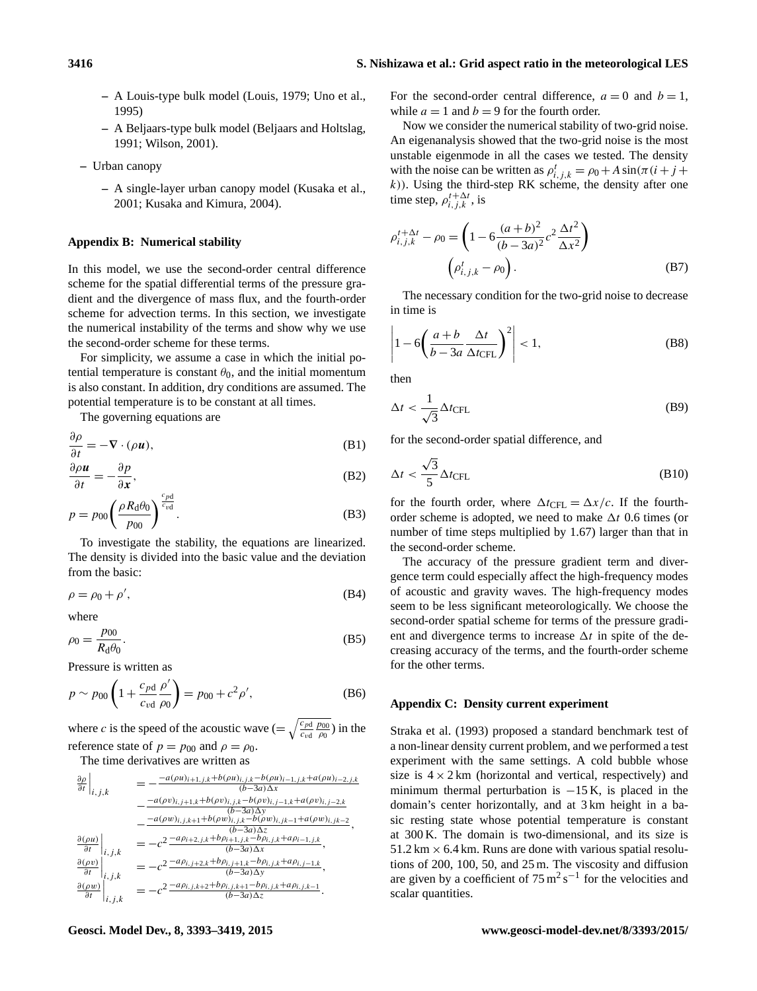- **–** A Louis-type bulk model [\(Louis,](#page-25-27) [1979;](#page-25-27) [Uno et al.,](#page-26-16) [1995\)](#page-26-16)
- **–** A Beljaars-type bulk model [\(Beljaars and Holtslag,](#page-25-28) [1991;](#page-25-28) [Wilson,](#page-26-17) [2001\)](#page-26-17).
- **–** Urban canopy
	- **–** A single-layer urban canopy model [\(Kusaka et al.,](#page-25-29) [2001;](#page-25-29) [Kusaka and Kimura,](#page-25-30) [2004\)](#page-25-30).

#### <span id="page-23-0"></span>**Appendix B: Numerical stability**

In this model, we use the second-order central difference scheme for the spatial differential terms of the pressure gradient and the divergence of mass flux, and the fourth-order scheme for advection terms. In this section, we investigate the numerical instability of the terms and show why we use the second-order scheme for these terms.

For simplicity, we assume a case in which the initial potential temperature is constant  $\theta_0$ , and the initial momentum is also constant. In addition, dry conditions are assumed. The potential temperature is to be constant at all times.

The governing equations are

$$
\frac{\partial \rho}{\partial t} = -\nabla \cdot (\rho \mathbf{u}),\tag{B1}
$$

$$
\frac{\partial \rho u}{\partial t} = -\frac{\partial p}{\partial x},\tag{B2}
$$

$$
p = p_{00} \left( \frac{\rho R_{\rm d} \theta_0}{p_{00}} \right)^{\frac{c_{\rm pd}}{c_{\rm vd}}}.
$$
 (B3)

To investigate the stability, the equations are linearized. The density is divided into the basic value and the deviation from the basic:

$$
\rho = \rho_0 + \rho',\tag{B4}
$$

where

$$
\rho_0 = \frac{p_{00}}{R_{\rm d}\theta_0}.\tag{B5}
$$

Pressure is written as

$$
p \sim p_{00} \left( 1 + \frac{c_{\text{pd}}}{c_{\text{vd}}} \frac{\rho'}{\rho_0} \right) = p_{00} + c^2 \rho', \tag{B6}
$$

where c is the speed of the acoustic wave  $(=\sqrt{\frac{c_{pd}}{c_{dd}}}$  $c_{\text{vd}}$  $p_{00}$  $\frac{\rho_{00}}{\rho_0}$ ) in the reference state of  $p = p_{00}$  and  $\rho = \rho_0$ .

The time derivatives are written as

$$
\begin{array}{rcl}\n\frac{\partial \rho}{\partial t}\Big|_{i,j,k} & = & -\frac{-a(\rho u)_{i+1,j,k} + b(\rho u)_{i,j,k} - b(\rho u)_{i-1,j,k} + a(\rho u)_{i-2,j,k}}{(b-3a)\Delta x} \\
& & -\frac{-a(\rho v)_{i,j+1,k} + b(\rho v)_{i,j,k} - b(\rho v)_{i,j-1,k} + a(\rho v)_{i,j-2,k}}{(b-3a)\Delta y} \\
& & -\frac{-a(\rho w)_{i,j,k+1} + b(\rho w)_{i,j,k} - b(\rho w)_{i,j,k-1} + a(\rho w)_{i,jk-2}}{(b-3a)\Delta x}, \\
\frac{\partial (\rho u)}{\partial t}\Big|_{i,j,k} & = & -c^2 \frac{-a\rho_{i+2,j,k} + b\rho_{i+1,j,k} - b\rho_{i,j,k} + a\rho_{i-1,j,k}}{(b-3a)\Delta x}, \\
\frac{\partial (\rho v)}{\partial t}\Big|_{i,j,k} & = & -c^2 \frac{-a\rho_{i,j+2,k} + b\rho_{i,j+1,k} - b\rho_{i,j,k} + a\rho_{i,j-1,k}}{(b-3a)\Delta y}, \\
\frac{\partial (\rho w)}{\partial t}\Big|_{i,j,k} & = & -c^2 \frac{-a\rho_{i,j,k+2} + b\rho_{i,j,k+1} - b\rho_{i,j,k} + a\rho_{i,j,k-1}}{(b-3a)\Delta z}.\n\end{array}
$$

For the second-order central difference,  $a = 0$  and  $b = 1$ , while  $a = 1$  and  $b = 9$  for the fourth order.

Now we consider the numerical stability of two-grid noise. An eigenanalysis showed that the two-grid noise is the most unstable eigenmode in all the cases we tested. The density with the noise can be written as  $\rho_{i,j,k}^t = \rho_0 + A \sin(\pi(i + j +$  $(k)$ ). Using the third-step RK scheme, the density after one time step,  $\rho_{i,j,k}^{t+\Delta t}$ , is

$$
\rho_{i,j,k}^{t + \Delta t} - \rho_0 = \left( 1 - 6 \frac{(a+b)^2}{(b-3a)^2} c^2 \frac{\Delta t^2}{\Delta x^2} \right)
$$

$$
\left( \rho_{i,j,k}^t - \rho_0 \right). \tag{B7}
$$

The necessary condition for the two-grid noise to decrease in time is

$$
\left| 1 - 6 \left( \frac{a+b}{b-3a} \frac{\Delta t}{\Delta t_{\text{CFL}}} \right)^2 \right| < 1,\tag{B8}
$$

then

$$
\Delta t < \frac{1}{\sqrt{3}} \Delta t_{\text{CFL}} \tag{B9}
$$

for the second-order spatial difference, and

$$
\Delta t < \frac{\sqrt{3}}{5} \Delta t_{\text{CFL}} \tag{B10}
$$

for the fourth order, where  $\Delta t_{\text{CFL}} = \Delta x/c$ . If the fourthorder scheme is adopted, we need to make  $\Delta t$  0.6 times (or number of time steps multiplied by 1.67) larger than that in the second-order scheme.

The accuracy of the pressure gradient term and divergence term could especially affect the high-frequency modes of acoustic and gravity waves. The high-frequency modes seem to be less significant meteorologically. We choose the second-order spatial scheme for terms of the pressure gradient and divergence terms to increase  $\Delta t$  in spite of the decreasing accuracy of the terms, and the fourth-order scheme for the other terms.

# <span id="page-23-1"></span>**Appendix C: Density current experiment**

[Straka et al.](#page-26-7) [\(1993\)](#page-26-7) proposed a standard benchmark test of a non-linear density current problem, and we performed a test experiment with the same settings. A cold bubble whose size is  $4 \times 2$  km (horizontal and vertical, respectively) and minimum thermal perturbation is  $-15$  K, is placed in the domain's center horizontally, and at 3 km height in a basic resting state whose potential temperature is constant at 300 K. The domain is two-dimensional, and its size is  $51.2 \text{ km} \times 6.4 \text{ km}$ . Runs are done with various spatial resolutions of 200, 100, 50, and 25 m. The viscosity and diffusion are given by a coefficient of  $75 \text{ m}^2 \text{ s}^{-1}$  for the velocities and scalar quantities.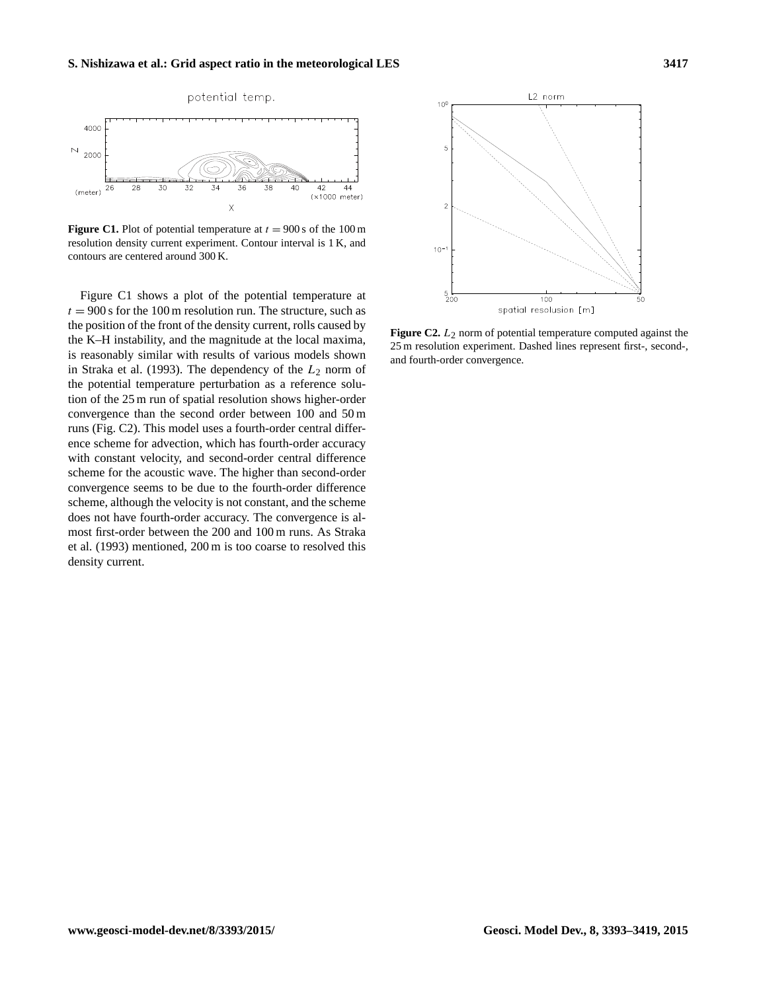<span id="page-24-0"></span>

**Figure C1.** Plot of potential temperature at  $t = 900$  s of the 100 m resolution density current experiment. Contour interval is 1 K, and contours are centered around 300 K.

Figure [C1](#page-24-0) shows a plot of the potential temperature at  $t = 900$  s for the 100 m resolution run. The structure, such as the position of the front of the density current, rolls caused by the K–H instability, and the magnitude at the local maxima, is reasonably similar with results of various models shown in [Straka et al.](#page-26-7) [\(1993\)](#page-26-7). The dependency of the  $L_2$  norm of the potential temperature perturbation as a reference solution of the 25 m run of spatial resolution shows higher-order convergence than the second order between 100 and 50 m runs (Fig. [C2\)](#page-24-1). This model uses a fourth-order central difference scheme for advection, which has fourth-order accuracy with constant velocity, and second-order central difference scheme for the acoustic wave. The higher than second-order convergence seems to be due to the fourth-order difference scheme, although the velocity is not constant, and the scheme does not have fourth-order accuracy. The convergence is almost first-order between the 200 and 100 m runs. As [Straka](#page-26-7) [et al.](#page-26-7) [\(1993\)](#page-26-7) mentioned, 200 m is too coarse to resolved this density current.

<span id="page-24-1"></span>

**Figure C2.**  $L_2$  norm of potential temperature computed against the 25 m resolution experiment. Dashed lines represent first-, second-, and fourth-order convergence.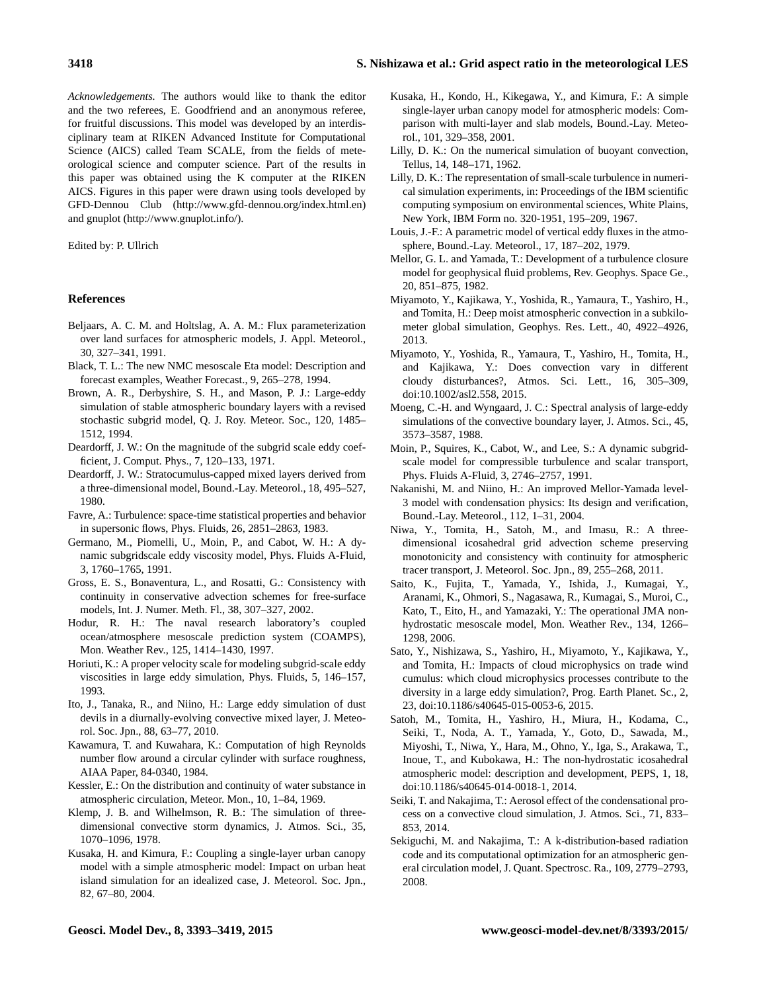*Acknowledgements.* The authors would like to thank the editor and the two referees, E. Goodfriend and an anonymous referee, for fruitful discussions. This model was developed by an interdisciplinary team at RIKEN Advanced Institute for Computational Science (AICS) called Team SCALE, from the fields of meteorological science and computer science. Part of the results in this paper was obtained using the K computer at the RIKEN AICS. Figures in this paper were drawn using tools developed by GFD-Dennou Club [\(http://www.gfd-dennou.org/index.html.en\)](http://www.gfd-dennou.org/index.html.en) and gnuplot [\(http://www.gnuplot.info/\)](http://www.gnuplot.info/).

Edited by: P. Ullrich

#### **References**

- <span id="page-25-28"></span>Beljaars, A. C. M. and Holtslag, A. A. M.: Flux parameterization over land surfaces for atmospheric models, J. Appl. Meteorol., 30, 327–341, 1991.
- <span id="page-25-2"></span>Black, T. L.: The new NMC mesoscale Eta model: Description and forecast examples, Weather Forecast., 9, 265–278, 1994.
- <span id="page-25-14"></span>Brown, A. R., Derbyshire, S. H., and Mason, P. J.: Large-eddy simulation of stable atmospheric boundary layers with a revised stochastic subgrid model, Q. J. Roy. Meteor. Soc., 120, 1485– 1512, 1994.
- <span id="page-25-15"></span>Deardorff, J. W.: On the magnitude of the subgrid scale eddy coefficient, J. Comput. Phys., 7, 120–133, 1971.
- <span id="page-25-9"></span>Deardorff, J. W.: Stratocumulus-capped mixed layers derived from a three-dimensional model, Bound.-Lay. Meteorol., 18, 495–527, 1980.
- <span id="page-25-20"></span>Favre, A.: Turbulence: space-time statistical properties and behavior in supersonic flows, Phys. Fluids, 26, 2851–2863, 1983.
- <span id="page-25-16"></span>Germano, M., Piomelli, U., Moin, P., and Cabot, W. H.: A dynamic subgridscale eddy viscosity model, Phys. Fluids A-Fluid, 3, 1760–1765, 1991.
- <span id="page-25-21"></span>Gross, E. S., Bonaventura, L., and Rosatti, G.: Consistency with continuity in conservative advection schemes for free-surface models, Int. J. Numer. Meth. Fl., 38, 307–327, 2002.
- <span id="page-25-1"></span>Hodur, R. H.: The naval research laboratory's coupled ocean/atmosphere mesoscale prediction system (COAMPS), Mon. Weather Rev., 125, 1414–1430, 1997.
- <span id="page-25-19"></span>Horiuti, K.: A proper velocity scale for modeling subgrid-scale eddy viscosities in large eddy simulation, Phys. Fluids, 5, 146–157, 1993.
- <span id="page-25-18"></span>Ito, J., Tanaka, R., and Niino, H.: Large eddy simulation of dust devils in a diurnally-evolving convective mixed layer, J. Meteorol. Soc. Jpn., 88, 63–77, 2010.
- <span id="page-25-23"></span>Kawamura, T. and Kuwahara, K.: Computation of high Reynolds number flow around a circular cylinder with surface roughness, AIAA Paper, 84-0340, 1984.
- <span id="page-25-24"></span>Kessler, E.: On the distribution and continuity of water substance in atmospheric circulation, Meteor. Mon., 10, 1–84, 1969.
- <span id="page-25-0"></span>Klemp, J. B. and Wilhelmson, R. B.: The simulation of threedimensional convective storm dynamics, J. Atmos. Sci., 35, 1070–1096, 1978.
- <span id="page-25-30"></span>Kusaka, H. and Kimura, F.: Coupling a single-layer urban canopy model with a simple atmospheric model: Impact on urban heat island simulation for an idealized case, J. Meteorol. Soc. Jpn., 82, 67–80, 2004.
- <span id="page-25-29"></span>Kusaka, H., Kondo, H., Kikegawa, Y., and Kimura, F.: A simple single-layer urban canopy model for atmospheric models: Comparison with multi-layer and slab models, Bound.-Lay. Meteorol., 101, 329–358, 2001.
- <span id="page-25-12"></span>Lilly, D. K.: On the numerical simulation of buoyant convection, Tellus, 14, 148–171, 1962.
- <span id="page-25-17"></span>Lilly, D. K.: The representation of small-scale turbulence in numerical simulation experiments, in: Proceedings of the IBM scientific computing symposium on environmental sciences, White Plains, New York, IBM Form no. 320-1951, 195–209, 1967.
- <span id="page-25-27"></span>Louis, J.-F.: A parametric model of vertical eddy fluxes in the atmosphere, Bound.-Lay. Meteorol., 17, 187–202, 1979.
- <span id="page-25-7"></span>Mellor, G. L. and Yamada, T.: Development of a turbulence closure model for geophysical fluid problems, Rev. Geophys. Space Ge., 20, 851–875, 1982.
- <span id="page-25-5"></span>Miyamoto, Y., Kajikawa, Y., Yoshida, R., Yamaura, T., Yashiro, H., and Tomita, H.: Deep moist atmospheric convection in a subkilometer global simulation, Geophys. Res. Lett., 40, 4922–4926, 2013.
- <span id="page-25-6"></span>Miyamoto, Y., Yoshida, R., Yamaura, T., Yashiro, H., Tomita, H., and Kajikawa, Y.: Does convection vary in different cloudy disturbances?, Atmos. Sci. Lett., 16, 305–309, doi[:10.1002/asl2.558,](http://dx.doi.org/10.1002/asl2.558) 2015.
- <span id="page-25-10"></span>Moeng, C.-H. and Wyngaard, J. C.: Spectral analysis of large-eddy simulations of the convective boundary layer, J. Atmos. Sci., 45, 3573–3587, 1988.
- <span id="page-25-13"></span>Moin, P., Squires, K., Cabot, W., and Lee, S.: A dynamic subgridscale model for compressible turbulence and scalar transport, Phys. Fluids A-Fluid, 3, 2746–2757, 1991.
- <span id="page-25-8"></span>Nakanishi, M. and Niino, H.: An improved Mellor-Yamada level-3 model with condensation physics: Its design and verification, Bound.-Lay. Meteorol., 112, 1–31, 2004.
- <span id="page-25-22"></span>Niwa, Y., Tomita, H., Satoh, M., and Imasu, R.: A threedimensional icosahedral grid advection scheme preserving monotonicity and consistency with continuity for atmospheric tracer transport, J. Meteorol. Soc. Jpn., 89, 255–268, 2011.
- <span id="page-25-3"></span>Saito, K., Fujita, T., Yamada, Y., Ishida, J., Kumagai, Y., Aranami, K., Ohmori, S., Nagasawa, R., Kumagai, S., Muroi, C., Kato, T., Eito, H., and Yamazaki, Y.: The operational JMA nonhydrostatic mesoscale model, Mon. Weather Rev., 134, 1266– 1298, 2006.
- <span id="page-25-11"></span>Sato, Y., Nishizawa, S., Yashiro, H., Miyamoto, Y., Kajikawa, Y., and Tomita, H.: Impacts of cloud microphysics on trade wind cumulus: which cloud microphysics processes contribute to the diversity in a large eddy simulation?, Prog. Earth Planet. Sc., 2, 23, doi[:10.1186/s40645-015-0053-6,](http://dx.doi.org/10.1186/s40645-015-0053-6) 2015.
- <span id="page-25-4"></span>Satoh, M., Tomita, H., Yashiro, H., Miura, H., Kodama, C., Seiki, T., Noda, A. T., Yamada, Y., Goto, D., Sawada, M., Miyoshi, T., Niwa, Y., Hara, M., Ohno, Y., Iga, S., Arakawa, T., Inoue, T., and Kubokawa, H.: The non-hydrostatic icosahedral atmospheric model: description and development, PEPS, 1, 18, doi[:10.1186/s40645-014-0018-1,](http://dx.doi.org/10.1186/s40645-014-0018-1) 2014.
- <span id="page-25-25"></span>Seiki, T. and Nakajima, T.: Aerosol effect of the condensational process on a convective cloud simulation, J. Atmos. Sci., 71, 833– 853, 2014.
- <span id="page-25-26"></span>Sekiguchi, M. and Nakajima, T.: A k-distribution-based radiation code and its computational optimization for an atmospheric general circulation model, J. Quant. Spectrosc. Ra., 109, 2779–2793, 2008.